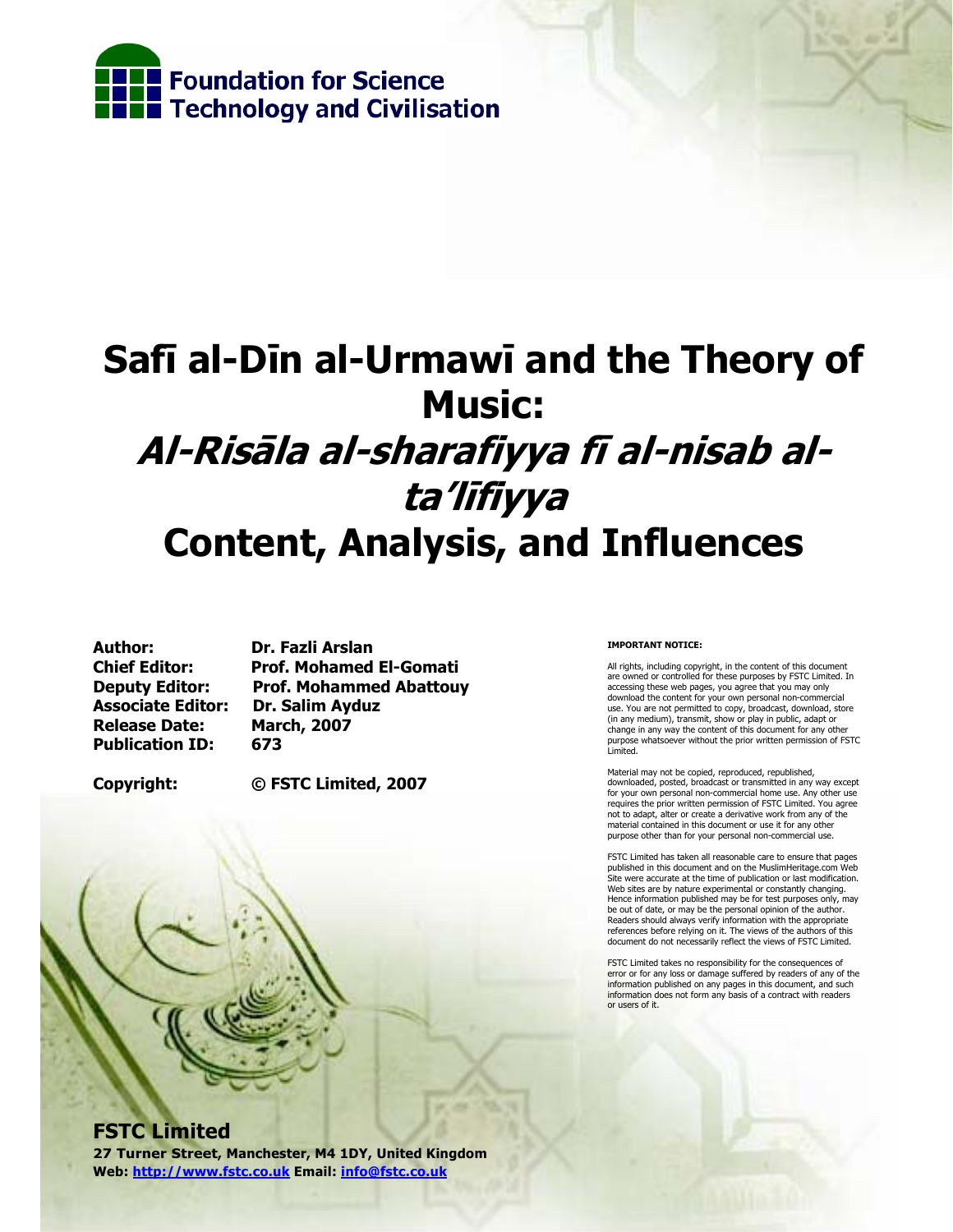

# **Safī al-Dīn al-Urmawī and the Theory of Music: Al-Risāla al-sharafiyya fī al-nisab alta'līfiyya Content, Analysis, and Influences**

**Author: Dr. Fazli Arslan Associate Editor: Dr. Salim Ayduz Release Date: March, 2007 Publication ID: 673** 

**Chief Editor: Prof. Mohamed El-Gomati Deputy Editor: Prof. Mohammed Abattouy** 

**Copyright: © FSTC Limited, 2007** 

#### **IMPORTANT NOTICE:**

All rights, including copyright, in the content of this document are owned or controlled for these purposes by FSTC Limited. In accessing these web pages, you agree that you may only download the content for your own personal non-commercial use. You are not permitted to copy, broadcast, download, store (in any medium), transmit, show or play in public, adapt or change in any way the content of this document for any other purpose whatsoever without the prior written permission of FSTC Limited.

Material may not be copied, reproduced, republished, downloaded, posted, broadcast or transmitted in any way except for your own personal non-commercial home use. Any other use requires the prior written permission of FSTC Limited. You agree not to adapt, alter or create a derivative work from any of the material contained in this document or use it for any other purpose other than for your personal non-commercial use.

FSTC Limited has taken all reasonable care to ensure that pages published in this document and on the MuslimHeritage.com Web Site were accurate at the time of publication or last modification. Web sites are by nature experimental or constantly changing. Hence information published may be for test purposes only, may be out of date, or may be the personal opinion of the author. Readers should always verify information with the appropriate references before relying on it. The views of the authors of this document do not necessarily reflect the views of FSTC Limited.

FSTC Limited takes no responsibility for the consequences of error or for any loss or damage suffered by readers of any of the information published on any pages in this document, and such information does not form any basis of a contract with readers or users of it.

## **FSTC Limited**

**27 Turner Street, Manchester, M4 1DY, United Kingdom Web: http://www.fstc.co.uk Email: info@fstc.co.uk**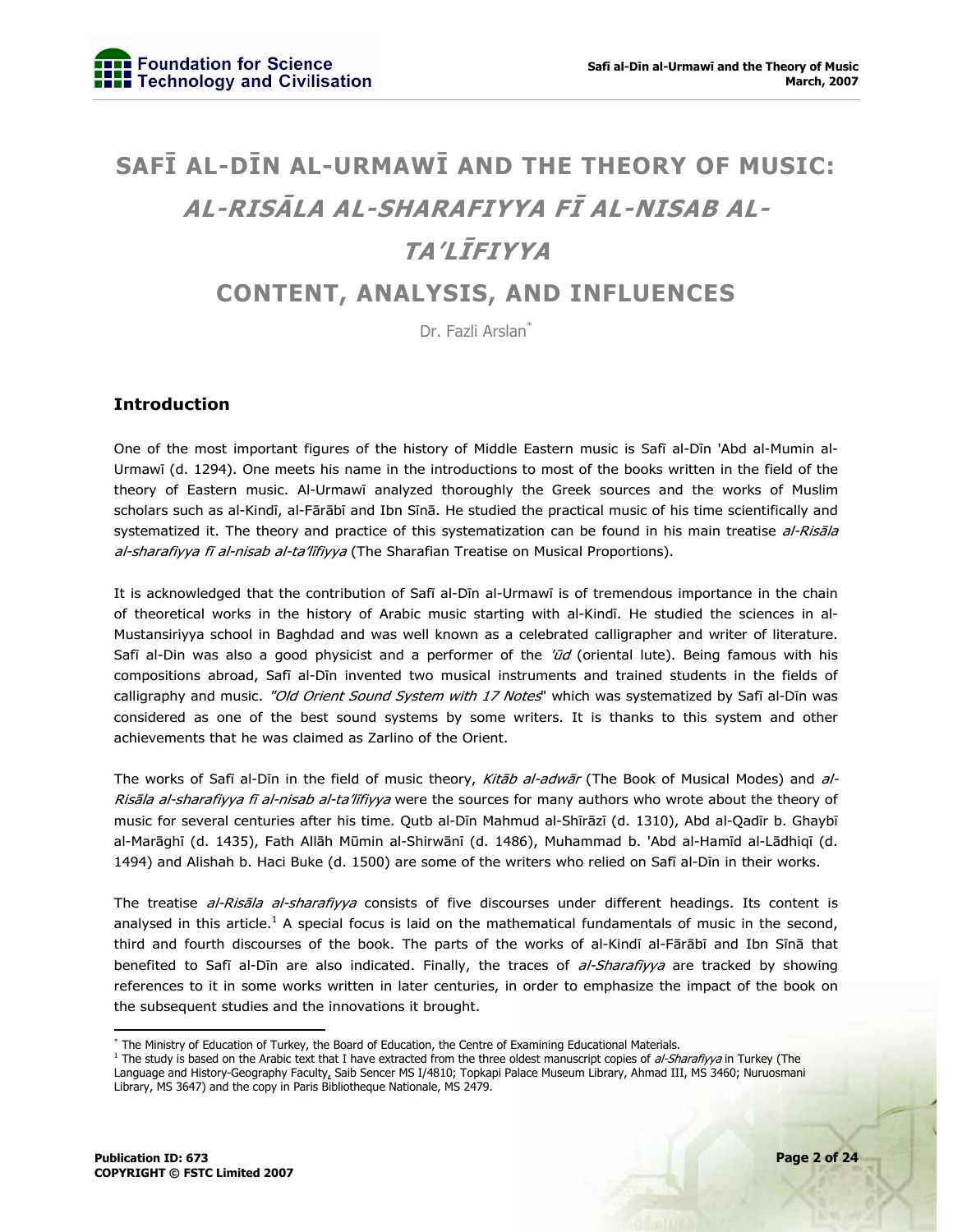## **SAFĪ AL-DĪN AL-URMAWĪ AND THE THEORY OF MUSIC: AL-RISĀLA AL-SHARAFIYYA FĪ AL-NISAB AL-TA'LĪFIYYA CONTENT, ANALYSIS, AND INFLUENCES**

Dr. Fazli Arslan<sup>\*</sup>

## **Introduction**

One of the most important figures of the history of Middle Eastern music is Safī al-Dīn 'Abd al-Mumin al-Urmawī (d. 1294). One meets his name in the introductions to most of the books written in the field of the theory of Eastern music. Al-Urmawī analyzed thoroughly the Greek sources and the works of Muslim scholars such as al-Kindī, al-Fārābī and Ibn Sīnā. He studied the practical music of his time scientifically and systematized it. The theory and practice of this systematization can be found in his main treatise al-Risala al-sharafiyya fi al-nisab al-ta'lifiyya (The Sharafian Treatise on Musical Proportions).

It is acknowledged that the contribution of Safī al-Dīn al-Urmawī is of tremendous importance in the chain of theoretical works in the history of Arabic music starting with al-Kindī. He studied the sciences in al-Mustansiriyya school in Baghdad and was well known as a celebrated calligrapher and writer of literature. Safī al-Din was also a good physicist and a performer of the  $\bar{u}d$  (oriental lute). Being famous with his compositions abroad, Safī al-Dīn invented two musical instruments and trained students in the fields of calligraphy and music. "Old Orient Sound System with 17 Notes" which was systematized by Safī al-Dīn was considered as one of the best sound systems by some writers. It is thanks to this system and other achievements that he was claimed as Zarlino of the Orient.

The works of Safī al-Dīn in the field of music theory, Kitab al-adwar (The Book of Musical Modes) and al-Risala al-sharafiyya fi al-nisab al-ta'lifiyya were the sources for many authors who wrote about the theory of music for several centuries after his time. Qutb al-Dīn Mahmud al-Shīrāzī (d. 1310), Abd al-Qadīr b. Ghaybī al-Marāghī (d. 1435), Fath Allāh Mūmin al-Shirwānī (d. 1486), Muhammad b. 'Abd al-Hamīd al-Lādhiqī (d. 1494) and Alishah b. Haci Buke (d. 1500) are some of the writers who relied on Safī al-Dīn in their works.

The treatise al-Risala al-sharafiyya consists of five discourses under different headings. Its content is analysed in this article.<sup>1</sup> A special focus is laid on the mathematical fundamentals of music in the second, third and fourth discourses of the book. The parts of the works of al-Kindī al-Fārābī and Ibn Sīnā that benefited to Safī al-Dīn are also indicated. Finally, the traces of al-Sharafiyya are tracked by showing references to it in some works written in later centuries, in order to emphasize the impact of the book on the subsequent studies and the innovations it brought.

<sup>\*</sup> The Ministry of Education of Turkey, the Board of Education, the Centre of Examining Educational Materials.

<sup>&</sup>lt;sup>1</sup> The study is based on the Arabic text that I have extracted from the three oldest manuscript copies of al-Sharafiyya in Turkey (The Language and History-Geography Faculty, Saib Sencer MS I/4810; Topkapi Palace Museum Library, Ahmad III, MS 3460; Nuruosmani Library, MS 3647) and the copy in Paris Bibliotheque Nationale, MS 2479.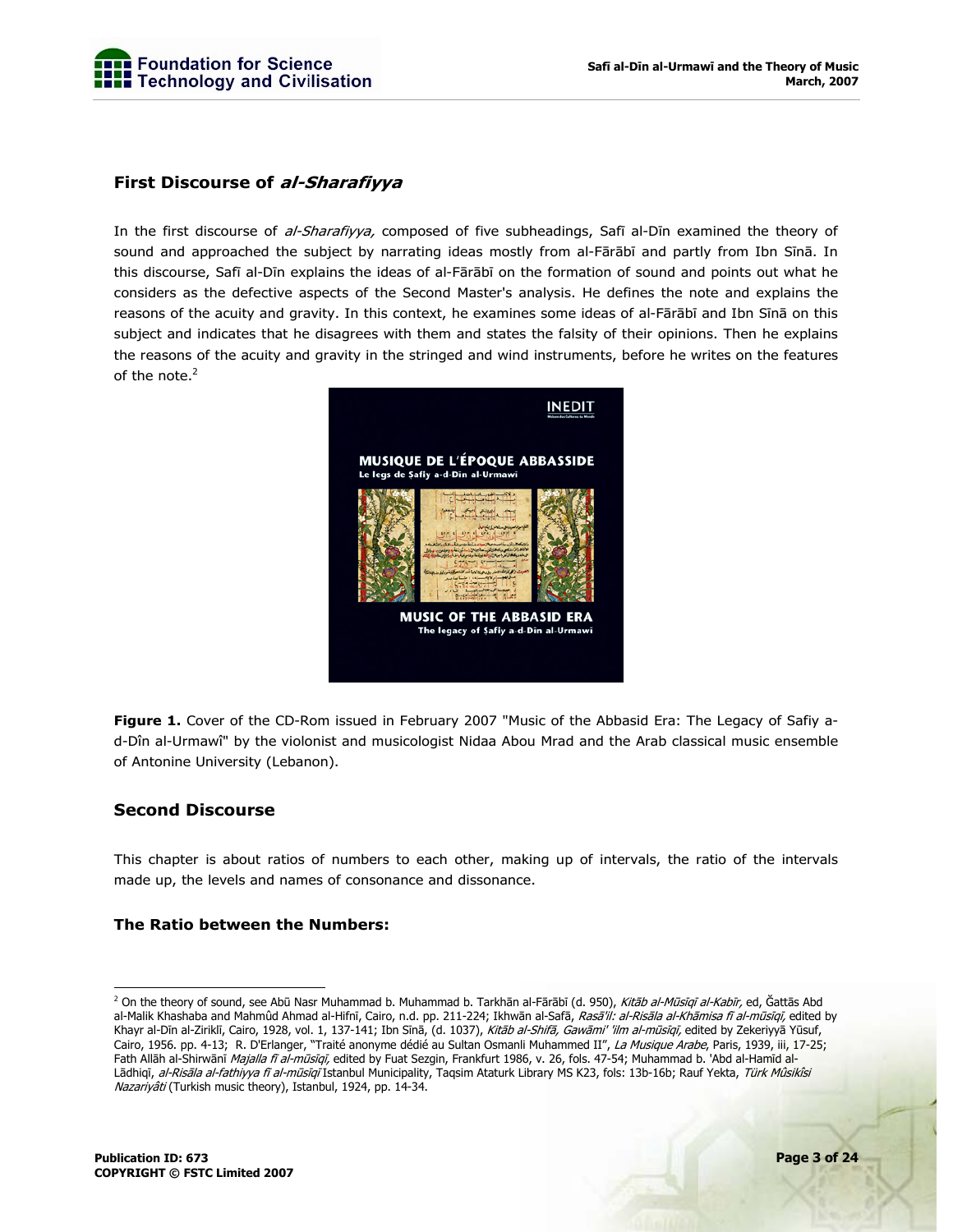

## **First Discourse of al-Sharafiyya**

In the first discourse of al-Sharafiyya, composed of five subheadings, Safī al-Dīn examined the theory of sound and approached the subject by narrating ideas mostly from al-Fārābī and partly from Ibn Sīnā. In this discourse, Safī al-Dīn explains the ideas of al-Fārābī on the formation of sound and points out what he considers as the defective aspects of the Second Master's analysis. He defines the note and explains the reasons of the acuity and gravity. In this context, he examines some ideas of al-Fārābī and Ibn Sīnā on this subject and indicates that he disagrees with them and states the falsity of their opinions. Then he explains the reasons of the acuity and gravity in the stringed and wind instruments, before he writes on the features of the note. $<sup>2</sup>$ </sup>



**Figure 1.** Cover of the CD-Rom issued in February 2007 "Music of the Abbasid Era: The Legacy of Safiy ad-Dîn al-Urmawî" by the violonist and musicologist Nidaa Abou Mrad and the Arab classical music ensemble of Antonine University (Lebanon).

## **Second Discourse**

This chapter is about ratios of numbers to each other, making up of intervals, the ratio of the intervals made up, the levels and names of consonance and dissonance.

#### **The Ratio between the Numbers:**

 2 On the theory of sound, see Abū Nasr Muhammad b. Muhammad b. Tarkhān al-Fārābī (d. 950), Kitāb al-Mūsīqī al-Kabīr, ed, Ğattās Abd al-Malik Khashaba and Mahmûd Ahmad al-Hifnī, Cairo, n.d. pp. 211-224; Ikhwān al-Safā, *Rasā'il: al-Risāla al-Khāmisa fī al-mūsīqī,* edited by Khayr al-Dīn al-Ziriklī, Cairo, 1928, vol. 1, 137-141; Ibn Sīnā, (d. 1037), Kitāb al-Shifā, Gawāmi' 'ilm al-mūsīqī, edited by Zekeriyyā Yūsuf, Cairo, 1956. pp. 4-13; R. D'Erlanger, "Traité anonyme dédié au Sultan Osmanli Muhammed II", La Musique Arabe, Paris, 1939, iii, 17-25; Fath Allāh al-Shirwānī Majalla fī al-mūsīqī, edited by Fuat Sezgin, Frankfurt 1986, v. 26, fols. 47-54; Muhammad b. 'Abd al-Hamīd al-Lādhiqī, al-Risāla al-fathiyya fī al-mūsīqī Istanbul Municipality, Taqsim Ataturk Library MS K23, fols: 13b-16b; Rauf Yekta, Türk Mûsikîsi Nazariyâti (Turkish music theory), Istanbul, 1924, pp. 14-34.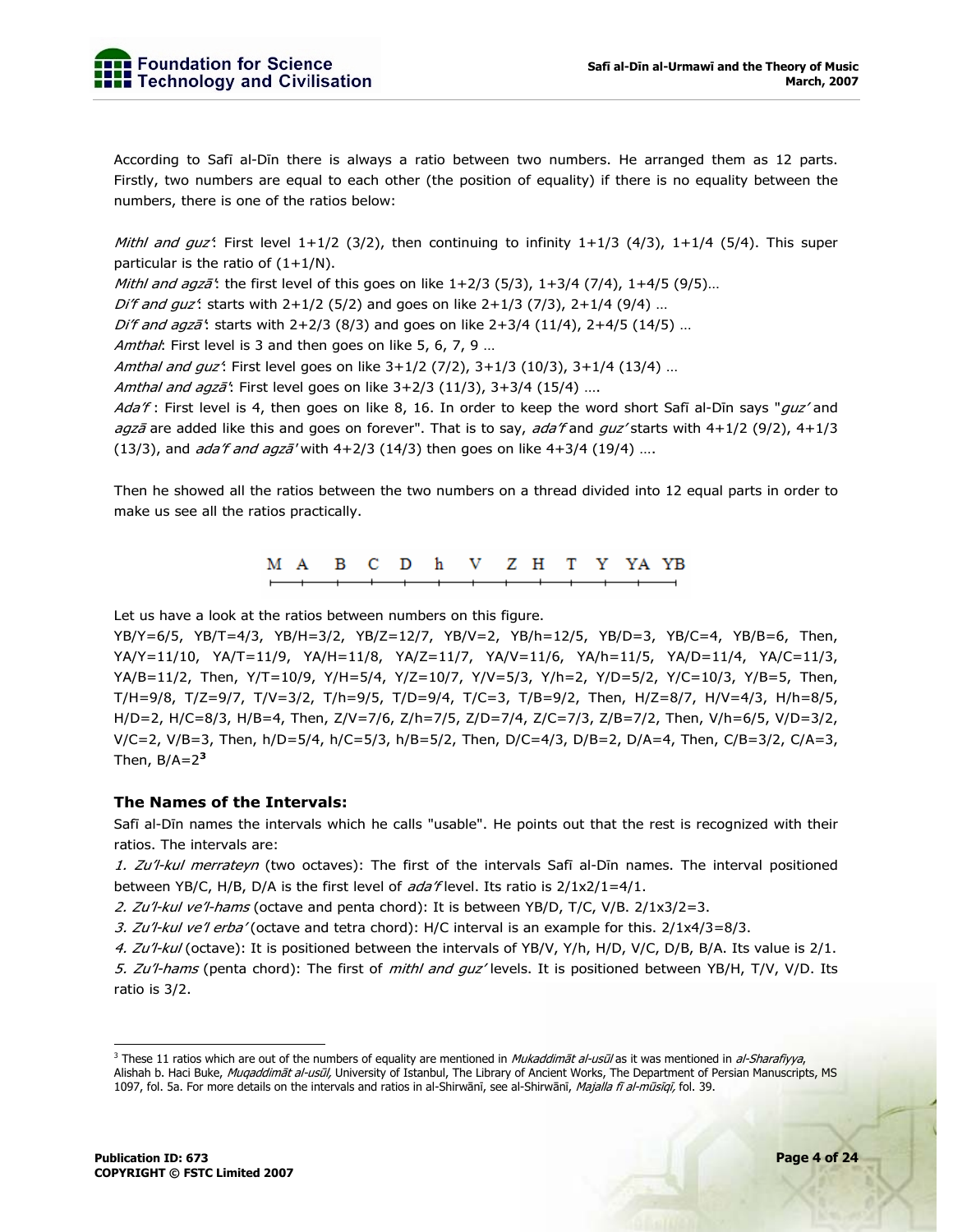According to Safī al-Dīn there is always a ratio between two numbers. He arranged them as 12 parts. Firstly, two numbers are equal to each other (the position of equality) if there is no equality between the numbers, there is one of the ratios below:

Mithl and guz<sup>4</sup>: First level  $1+1/2$  (3/2), then continuing to infinity  $1+1/3$  (4/3),  $1+1/4$  (5/4). This super particular is the ratio of  $(1+1/N)$ .

Mithl and agz $\bar{a}$ : the first level of this goes on like  $1+2/3$  (5/3),  $1+3/4$  (7/4),  $1+4/5$  (9/5)...

Di'f and guz': starts with  $2+1/2$  (5/2) and goes on like  $2+1/3$  (7/3),  $2+1/4$  (9/4) ...

Di'f and agza<sup>\*</sup>: starts with 2+2/3 (8/3) and goes on like 2+3/4 (11/4), 2+4/5 (14/5) ...

Amthal: First level is 3 and then goes on like 5, 6, 7, 9 ...

Amthal and guz': First level goes on like 3+1/2 (7/2), 3+1/3 (10/3), 3+1/4 (13/4) ...

Amthal and agzā<sup>'</sup>: First level goes on like 3+2/3 (11/3), 3+3/4 (15/4) ....

Ada'f: First level is 4, then goes on like 8, 16. In order to keep the word short Safī al-Dīn says "guz' and agzā are added like this and goes on forever". That is to say, ada'f and guz' starts with 4+1/2 (9/2), 4+1/3 (13/3), and *ada'f and agzā'* with  $4+2/3$  (14/3) then goes on like  $4+3/4$  (19/4) ....

Then he showed all the ratios between the two numbers on a thread divided into 12 equal parts in order to make us see all the ratios practically.

> M A в C D h V Z H T Y YA YB

Let us have a look at the ratios between numbers on this figure.

YB/Y=6/5, YB/T=4/3, YB/H=3/2, YB/Z=12/7, YB/V=2, YB/h=12/5, YB/D=3, YB/C=4, YB/B=6, Then, YA/Y=11/10, YA/T=11/9, YA/H=11/8, YA/Z=11/7, YA/V=11/6, YA/h=11/5, YA/D=11/4, YA/C=11/3, YA/B=11/2, Then, Y/T=10/9, Y/H=5/4, Y/Z=10/7, Y/V=5/3, Y/h=2, Y/D=5/2, Y/C=10/3, Y/B=5, Then, T/H=9/8, T/Z=9/7, T/V=3/2, T/h=9/5, T/D=9/4, T/C=3, T/B=9/2, Then, H/Z=8/7, H/V=4/3, H/h=8/5, H/D=2, H/C=8/3, H/B=4, Then, Z/V=7/6, Z/h=7/5, Z/D=7/4, Z/C=7/3, Z/B=7/2, Then, V/h=6/5, V/D=3/2, V/C=2, V/B=3, Then, h/D=5/4, h/C=5/3, h/B=5/2, Then, D/C=4/3, D/B=2, D/A=4, Then, C/B=3/2, C/A=3, Then,  $B/A=2^3$ 

#### **The Names of the Intervals:**

Safī al-Dīn names the intervals which he calls "usable". He points out that the rest is recognized with their ratios. The intervals are:

1. Zu'l-kul merrateyn (two octaves): The first of the intervals Safī al-Dīn names. The interval positioned between YB/C, H/B, D/A is the first level of  $ada$  flevel. Its ratio is  $2/1x^2/1=4/1$ .

2. Zu'l-kul ve'l-hams (octave and penta chord): It is between YB/D, T/C, V/B.  $2/1x3/2=3$ .

3. Zu'l-kul ve'l erba' (octave and tetra chord): H/C interval is an example for this.  $2/1x4/3=8/3$ .

4. Zu'l-kul (octave): It is positioned between the intervals of YB/V, Y/h, H/D, V/C, D/B, B/A. Its value is 2/1.

5. Zu'l-hams (penta chord): The first of mithl and guz' levels. It is positioned between YB/H, T/V, V/D. Its ratio is 3/2.

<sup>&</sup>lt;sup>3</sup> These 11 ratios which are out of the numbers of equality are mentioned in *Mukaddimāt al-usūl* as it was mentioned in *al-Sharafiyya*, Alishah b. Haci Buke, Mugaddimāt al-usūl, University of Istanbul, The Library of Ancient Works, The Department of Persian Manuscripts, MS 1097, fol. 5a. For more details on the intervals and ratios in al-Shirwānī, see al-Shirwānī, Majalla fī al-mūsīqī, fol. 39.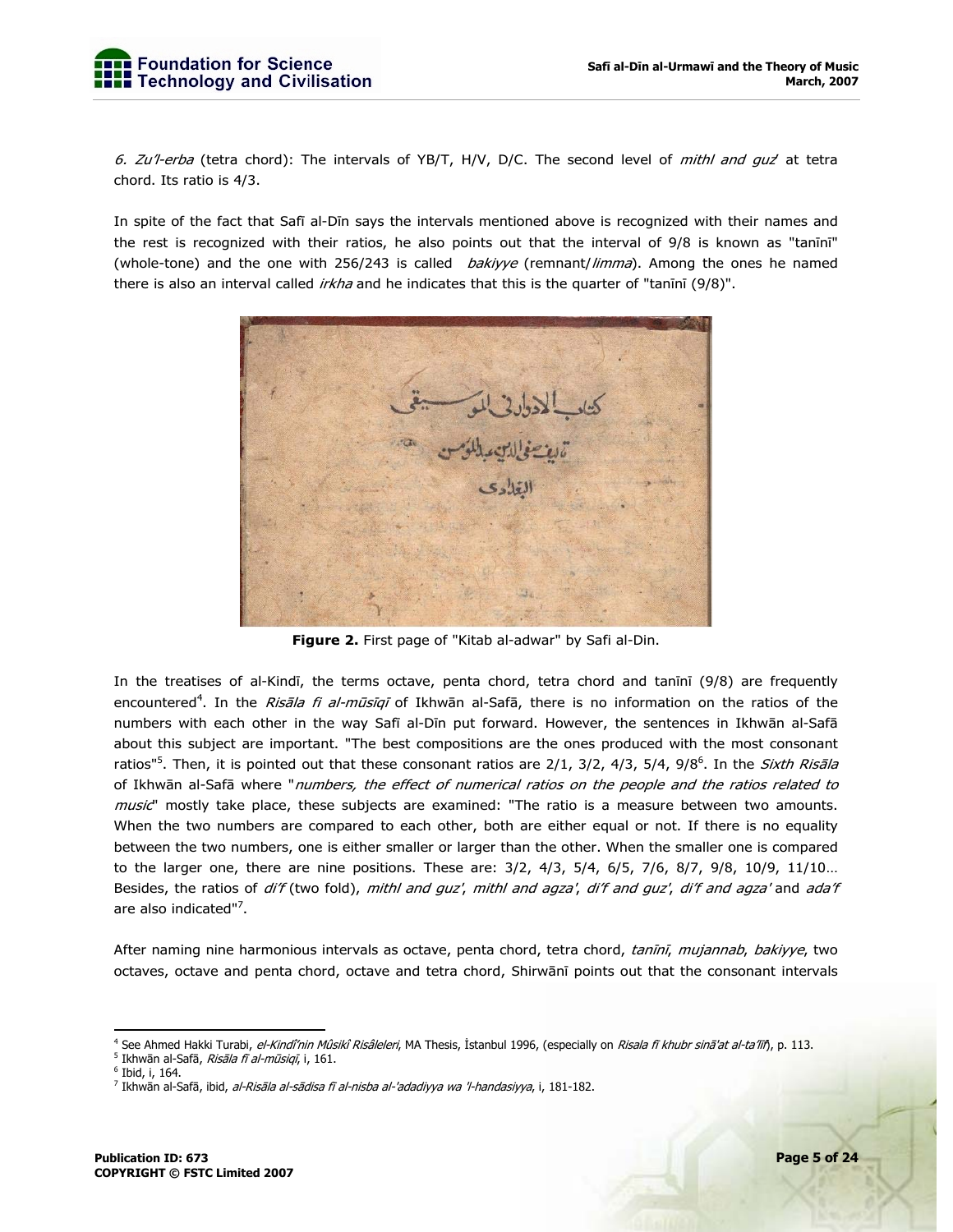

6. Zu'l-erba (tetra chord): The intervals of YB/T, H/V, D/C. The second level of *mithl and quz*' at tetra chord. Its ratio is 4/3.

In spite of the fact that Safī al-Dīn says the intervals mentioned above is recognized with their names and the rest is recognized with their ratios, he also points out that the interval of 9/8 is known as "tanīnī" (whole-tone) and the one with 256/243 is called *bakiyye* (remnant/limma). Among the ones he named there is also an interval called *irkha* and he indicates that this is the quarter of "tanīnī (9/8)".



**Figure 2.** First page of "Kitab al-adwar" by Safi al-Din.

In the treatises of al-Kindī, the terms octave, penta chord, tetra chord and tanīnī (9/8) are frequently encountered<sup>4</sup>. In the *Risāla fi al-mūsīqī* of Ikhwān al-Safā, there is no information on the ratios of the numbers with each other in the way Safī al-Dīn put forward. However, the sentences in Ikhwān al-Safā about this subject are important. "The best compositions are the ones produced with the most consonant ratios"<sup>5</sup>. Then, it is pointed out that these consonant ratios are 2/1, 3/2, 4/3, 5/4, 9/8<sup>6</sup>. In the *Sixth Risāla* of Ikhwān al-Safā where "numbers, the effect of numerical ratios on the people and the ratios related to music" mostly take place, these subjects are examined: "The ratio is a measure between two amounts. When the two numbers are compared to each other, both are either equal or not. If there is no equality between the two numbers, one is either smaller or larger than the other. When the smaller one is compared to the larger one, there are nine positions. These are: 3/2, 4/3, 5/4, 6/5, 7/6, 8/7, 9/8, 10/9, 11/10… Besides, the ratios of di'f (two fold), mithl and guz', mithl and agza', di'f and guz', di'f and agza' and ada'f are also indicated"<sup>7</sup>.

After naming nine harmonious intervals as octave, penta chord, tetra chord, tanīnī, mujannab, bakiyye, two octaves, octave and penta chord, octave and tetra chord, Shirwānī points out that the consonant intervals

<sup>-</sup><sup>4</sup> See Ahmed Hakki Turabi, *el-Kindî'nin Mûsikî Risâleleri*, MA Thesis, İstanbul 1996, (especially on *Risala fī khubr sinā'at al-ta'līñ*, p. 113.

<sup>&</sup>lt;sup>5</sup> Ikhwān al-Safā, *Risāla fī al-mūsiqī*, i, 161.

<sup>6</sup> Ibid, i, 164.

<sup>&</sup>lt;sup>7</sup> Ikhwān al-Safā, ibid, *al-Risāla al-sādisa fī al-nisba al-'adadiyya wa 'l-handasiyya*, i, 181-182.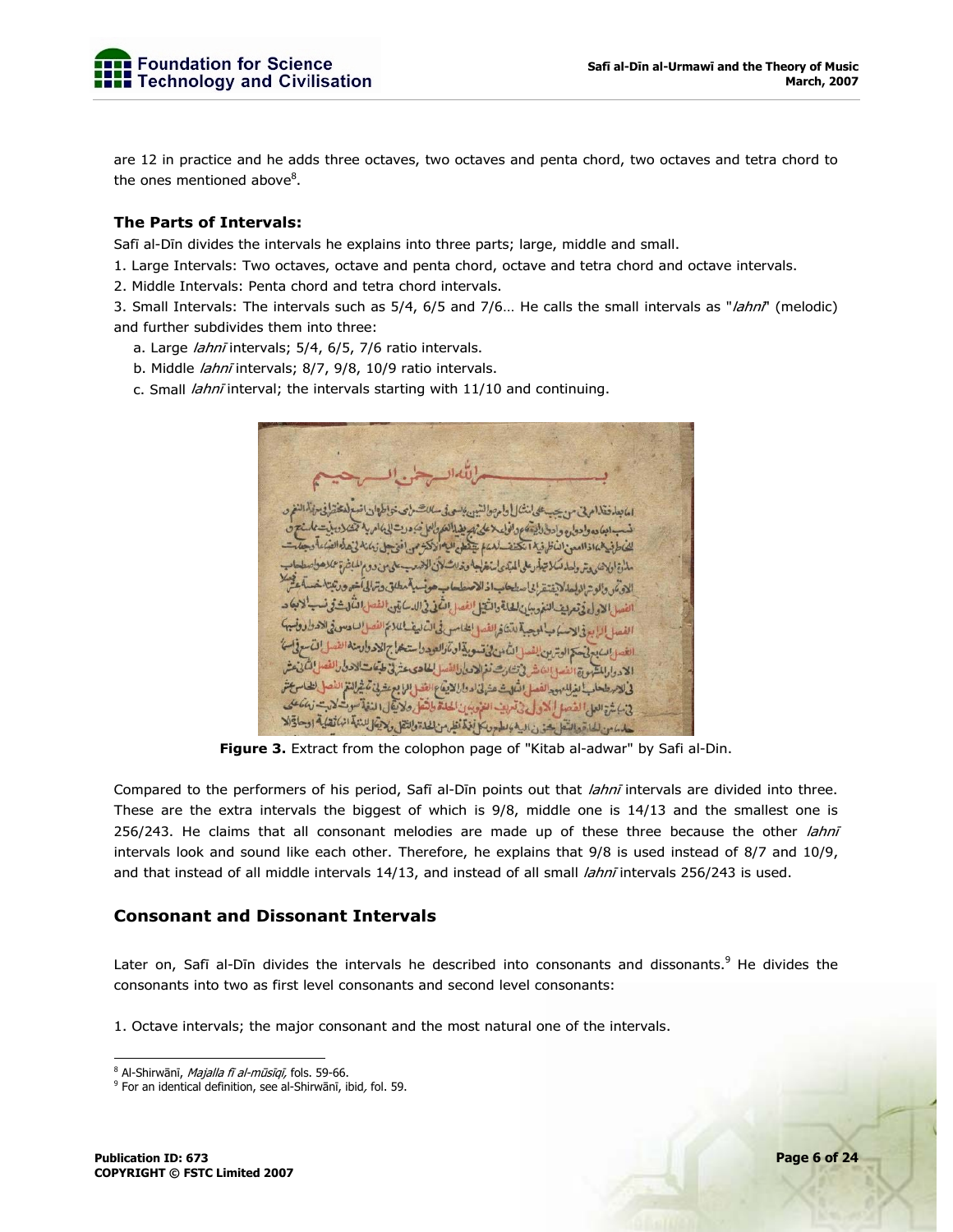

are 12 in practice and he adds three octaves, two octaves and penta chord, two octaves and tetra chord to the ones mentioned above<sup>8</sup>.

## **The Parts of Intervals:**

Safī al-Dīn divides the intervals he explains into three parts; large, middle and small.

1. Large Intervals: Two octaves, octave and penta chord, octave and tetra chord and octave intervals.

2. Middle Intervals: Penta chord and tetra chord intervals.

3. Small Intervals: The intervals such as 5/4, 6/5 and 7/6... He calls the small intervals as "lahni" (melodic) and further subdivides them into three:

- a. Large *lahnī* intervals; 5/4, 6/5, 7/6 ratio intervals.
- b. Middle *lahnī* intervals; 8/7, 9/8, 10/9 ratio intervals.
- c. Small lahnī interval; the intervals starting with 11/10 and continuing.

امانعلى فقلام في من سيستلي لنشأ [ وام ص لشين كا ابعاده وادوار ووادرا ويتعود افاعلاعلى بمريضا العكوالعلى وروتال للحاط فيدهما فذاامعن المأظرفية انكتف للهمام يتقطع البادلاكة مذاة الاهندي ترولها تسكا تيلأ دعلى المداي الغضاجة وخلاشافان الضعب على من دوم المباشرة عملا صواء الادتمر والوتر الولعا لايفتق إنا سطحاب اذ الاصطعاب هونسبة مطلق وترالى أخو ورتبتها خه الفصل الأول في تعريف لنفر بيان لشايع والشيخ الفصل التكف في الدسك يتين الفصل التكارث في نسه الفصا بالأبرؤ الاسكانية لمنية لتشاؤ الفصا لطامس في التمالية باللائم الفصل لساحة وفي والاحتراد وفسيهكم الغد البدين فيهتم الوترين الفعل الثامن في تسوية ان تارالعهد واستعمل جالا حد وارمنه الفصل التسع في السن الادرار المشهورة الفسو إلى شرفي تشارث نغ الادمار الفصالي لمطاهده عش في طبقات الاحزار الفصل المكاني عشر فى الاستطعاب الغيال مودالفصل الثالث عنهانى الدوارا لايقاع الفضل الما بع عقد في تم غير النقم الفصل الطاس عش فى مارة العلى الفصل الذول فى تربين الفروسين الحاة طائفل ولايقل النفاة سوية لتربت نه مكان حاما من للماءة والتقل شورن الية والطهور بكل فذم أنظر من لها والنقل وللتوكي للنغة انها تقلية اوحادة الا

**Figure 3.** Extract from the colophon page of "Kitab al-adwar" by Safi al-Din.

Compared to the performers of his period, Safī al-Dīn points out that *lahnī* intervals are divided into three. These are the extra intervals the biggest of which is 9/8, middle one is 14/13 and the smallest one is 256/243. He claims that all consonant melodies are made up of these three because the other *lahnī* intervals look and sound like each other. Therefore, he explains that 9/8 is used instead of 8/7 and 10/9, and that instead of all middle intervals 14/13, and instead of all small lahnī intervals 256/243 is used.

## **Consonant and Dissonant Intervals**

Later on, Safī al-Dīn divides the intervals he described into consonants and dissonants.<sup>9</sup> He divides the consonants into two as first level consonants and second level consonants:

1. Octave intervals; the major consonant and the most natural one of the intervals.

<sup>-</sup><sup>8</sup> Al-Shirwānī, *Majalla fī al-mūsīqī,* fols. 59-66.

<sup>9</sup> For an identical definition, see al-Shirwānī, ibid, fol. 59.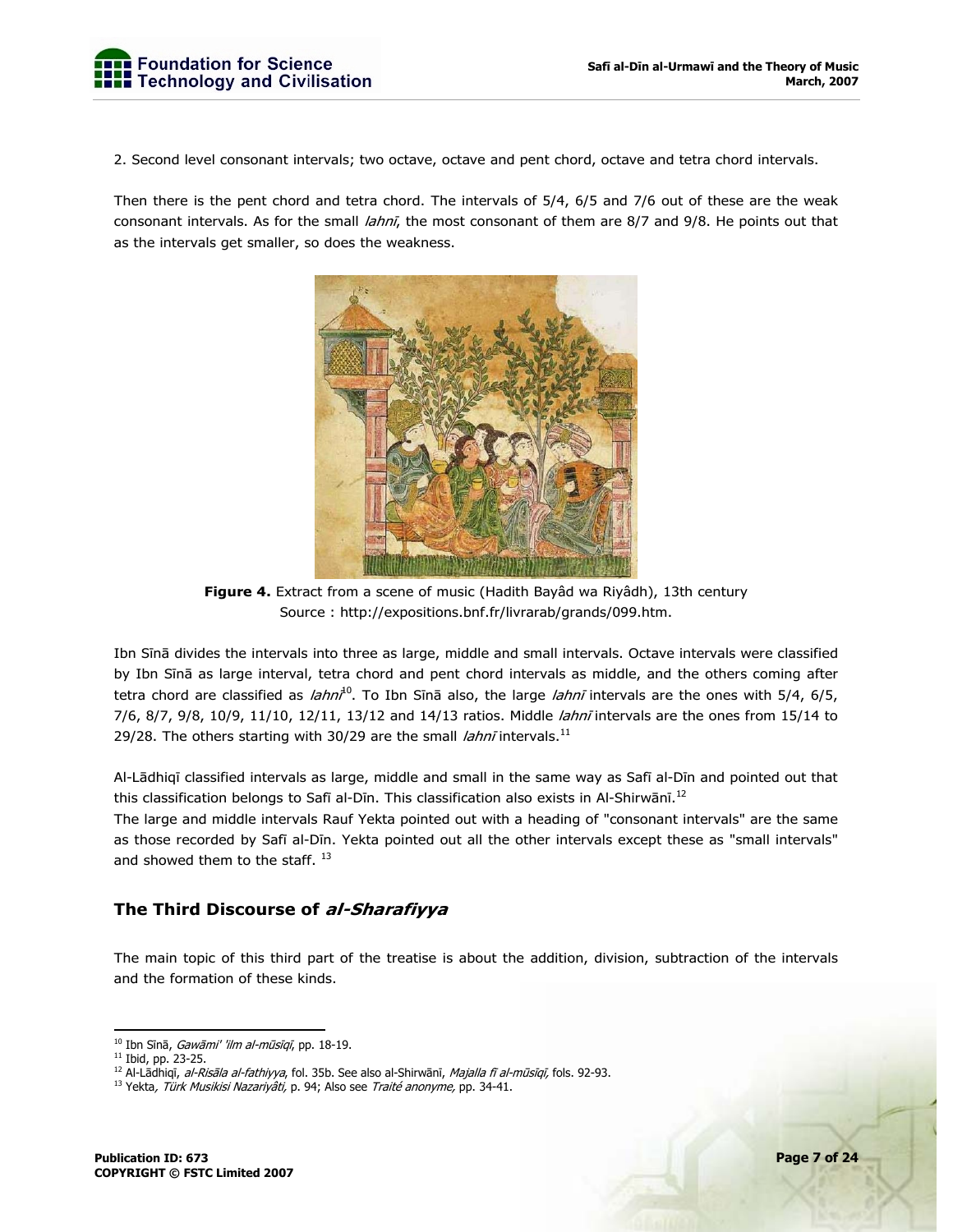2. Second level consonant intervals; two octave, octave and pent chord, octave and tetra chord intervals.

Then there is the pent chord and tetra chord. The intervals of 5/4, 6/5 and 7/6 out of these are the weak consonant intervals. As for the small *lahnī*, the most consonant of them are 8/7 and 9/8. He points out that as the intervals get smaller, so does the weakness.



**Figure 4.** Extract from a scene of music (Hadith Bayâd wa Riyâdh), 13th century Source : http://expositions.bnf.fr/livrarab/grands/099.htm.

Ibn Sīnā divides the intervals into three as large, middle and small intervals. Octave intervals were classified by Ibn Sīnā as large interval, tetra chord and pent chord intervals as middle, and the others coming after tetra chord are classified as *lahni*<sup>10</sup>. To Ibn Sīnā also, the large *lahnī* intervals are the ones with 5/4, 6/5, 7/6, 8/7, 9/8, 10/9, 11/10, 12/11, 13/12 and 14/13 ratios. Middle *lahnī* intervals are the ones from 15/14 to 29/28. The others starting with 30/29 are the small *lahni* intervals.<sup>11</sup>

Al-Lādhiqī classified intervals as large, middle and small in the same way as Safī al-Dīn and pointed out that this classification belongs to Safī al-Dīn. This classification also exists in Al-Shirwānī.<sup>12</sup>

The large and middle intervals Rauf Yekta pointed out with a heading of "consonant intervals" are the same as those recorded by Safī al-Dīn. Yekta pointed out all the other intervals except these as "small intervals" and showed them to the staff.<sup>13</sup>

## **The Third Discourse of al-Sharafiyya**

The main topic of this third part of the treatise is about the addition, division, subtraction of the intervals and the formation of these kinds.

<sup>-</sup>

<sup>&</sup>lt;sup>10</sup> Ibn Sīnā*, Gawāmi' 'ilm al-mūsīqī*, pp. 18-19.<br><sup>11</sup> Ibid, pp. 23-25.<br><sup>12</sup> Al-Lādhigī*, al-Risāla al-fathiyya*, fol. 35b. See also al-Shirwānī*, Majalla fī al-mūsīgī,* fols. 92-93.

<sup>&</sup>lt;sup>13</sup> Yekta, Türk Musikisi Nazariyâti, p. 94; Also see Traité anonyme, pp. 34-41.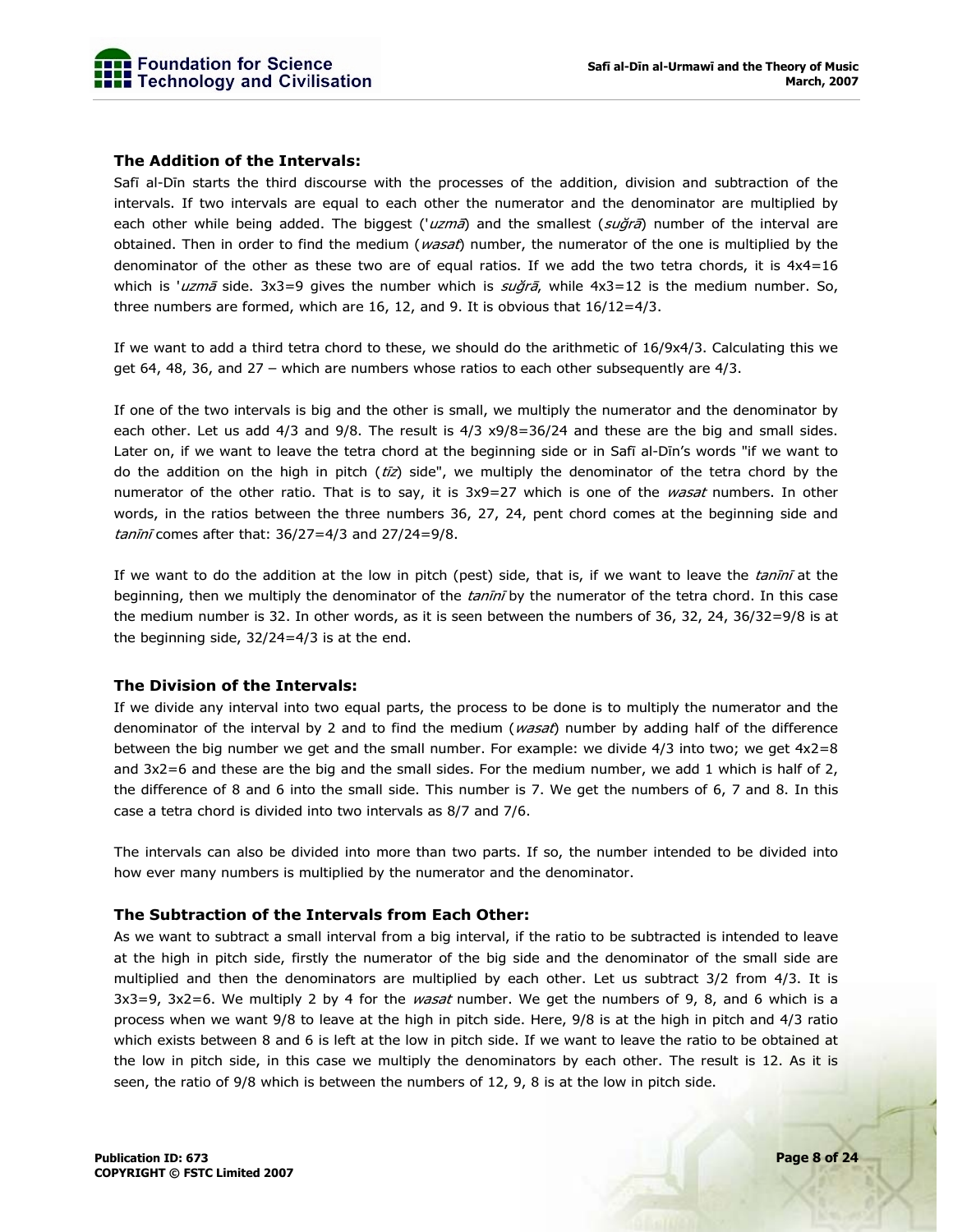#### **The Addition of the Intervals:**

Safī al-Dīn starts the third discourse with the processes of the addition, division and subtraction of the intervals. If two intervals are equal to each other the numerator and the denominator are multiplied by each other while being added. The biggest ('uzmā) and the smallest (suğrā) number of the interval are obtained. Then in order to find the medium (wasat) number, the numerator of the one is multiplied by the denominator of the other as these two are of equal ratios. If we add the two tetra chords, it is  $4x4=16$ which is 'uzmā side.  $3x3=9$  gives the number which is  $s\omega\zeta\zeta\bar{\zeta}$ , while  $4x3=12$  is the medium number. So, three numbers are formed, which are 16, 12, and 9. It is obvious that  $16/12=4/3$ .

If we want to add a third tetra chord to these, we should do the arithmetic of 16/9x4/3. Calculating this we get 64, 48, 36, and 27 – which are numbers whose ratios to each other subsequently are 4/3.

If one of the two intervals is big and the other is small, we multiply the numerator and the denominator by each other. Let us add 4/3 and 9/8. The result is 4/3 x9/8=36/24 and these are the big and small sides. Later on, if we want to leave the tetra chord at the beginning side or in Safī al-Dīn's words "if we want to do the addition on the high in pitch ( $t\bar{z}z$ ) side", we multiply the denominator of the tetra chord by the numerator of the other ratio. That is to say, it is 3x9=27 which is one of the wasat numbers. In other words, in the ratios between the three numbers 36, 27, 24, pent chord comes at the beginning side and tanīn<sup>ī</sup> comes after that: 36/27=4/3 and 27/24=9/8.

If we want to do the addition at the low in pitch (pest) side, that is, if we want to leave the tanini at the beginning, then we multiply the denominator of the tanini by the numerator of the tetra chord. In this case the medium number is 32. In other words, as it is seen between the numbers of 36, 32, 24, 36/32=9/8 is at the beginning side, 32/24=4/3 is at the end.

#### **The Division of the Intervals:**

If we divide any interval into two equal parts, the process to be done is to multiply the numerator and the denominator of the interval by 2 and to find the medium (wasat) number by adding half of the difference between the big number we get and the small number. For example: we divide 4/3 into two; we get 4x2=8 and 3x2=6 and these are the big and the small sides. For the medium number, we add 1 which is half of 2, the difference of 8 and 6 into the small side. This number is 7. We get the numbers of 6, 7 and 8. In this case a tetra chord is divided into two intervals as 8/7 and 7/6.

The intervals can also be divided into more than two parts. If so, the number intended to be divided into how ever many numbers is multiplied by the numerator and the denominator.

#### **The Subtraction of the Intervals from Each Other:**

As we want to subtract a small interval from a big interval, if the ratio to be subtracted is intended to leave at the high in pitch side, firstly the numerator of the big side and the denominator of the small side are multiplied and then the denominators are multiplied by each other. Let us subtract 3/2 from 4/3. It is  $3x3=9$ ,  $3x2=6$ . We multiply 2 by 4 for the *wasat* number. We get the numbers of 9, 8, and 6 which is a process when we want 9/8 to leave at the high in pitch side. Here, 9/8 is at the high in pitch and 4/3 ratio which exists between 8 and 6 is left at the low in pitch side. If we want to leave the ratio to be obtained at the low in pitch side, in this case we multiply the denominators by each other. The result is 12. As it is seen, the ratio of 9/8 which is between the numbers of 12, 9, 8 is at the low in pitch side.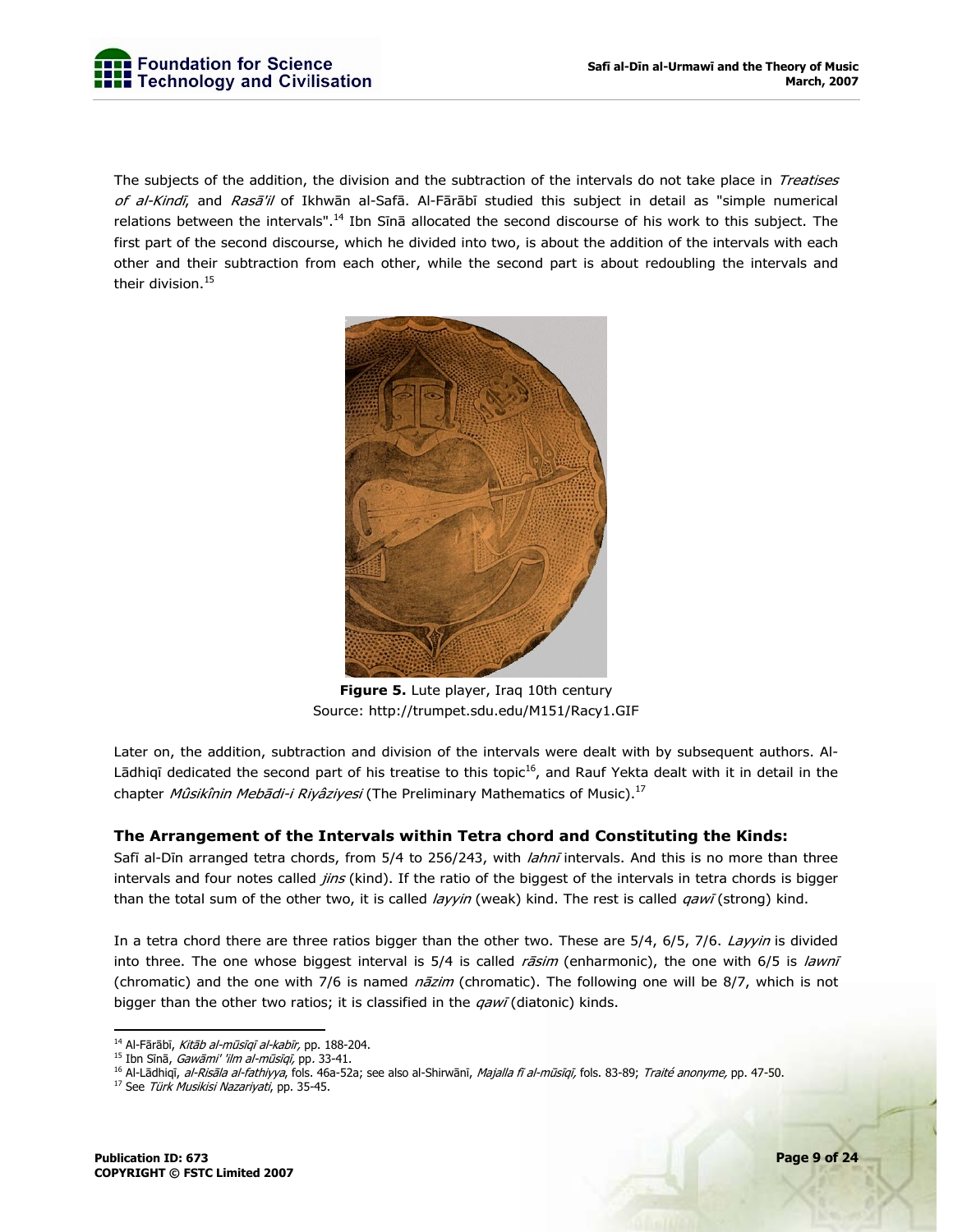

The subjects of the addition, the division and the subtraction of the intervals do not take place in Treatises of al-Kindī, and Rasā'il of Ikhwān al-Safā. Al-Fārābī studied this subject in detail as "simple numerical relations between the intervals".<sup>14</sup> Ibn Sīnā allocated the second discourse of his work to this subject. The first part of the second discourse, which he divided into two, is about the addition of the intervals with each other and their subtraction from each other, while the second part is about redoubling the intervals and their division.<sup>15</sup>



**Figure 5.** Lute player, Iraq 10th century Source: http://trumpet.sdu.edu/M151/Racy1.GIF

Later on, the addition, subtraction and division of the intervals were dealt with by subsequent authors. Al-Lādhiqī dedicated the second part of his treatise to this topic<sup>16</sup>, and Rauf Yekta dealt with it in detail in the chapter Mûsikînin Mebādi-i Riyâziyesi (The Preliminary Mathematics of Music).<sup>17</sup>

#### **The Arrangement of the Intervals within Tetra chord and Constituting the Kinds:**

Safī al-Dīn arranged tetra chords, from 5/4 to 256/243, with *lahnī* intervals. And this is no more than three intervals and four notes called *jins* (kind). If the ratio of the biggest of the intervals in tetra chords is bigger than the total sum of the other two, it is called layyin (weak) kind. The rest is called qawī (strong) kind.

In a tetra chord there are three ratios bigger than the other two. These are 5/4, 6/5, 7/6. Layyin is divided into three. The one whose biggest interval is  $5/4$  is called  $r\bar{a}sin$  (enharmonic), the one with  $6/5$  is lawni (chromatic) and the one with 7/6 is named *nāzim* (chromatic). The following one will be 8/7, which is not bigger than the other two ratios; it is classified in the  $qaw\bar{q}$  (diatonic) kinds.

<sup>&</sup>lt;sup>14</sup> Al-Fārābī, *Kitāb al-mūsīqī al-kabīr,* pp. 188-204.<br><sup>15</sup> Ibn Sīnā, *Gawāmi' 'ilm al-mūsīqī,* pp*.* 33-41.

<sup>&</sup>lt;sup>16</sup> Al-Lādhiqī, *al-Risāla al-fathiyya*, fols. 46a-52a; see also al-Shirwānī, *Majalla fī al-mūsīqī,* fols. 83-89; *Traité anonyme,* pp. 47-50.<br><sup>17</sup> See *Türk Musikisi Nazariyati*, pp. 35-45.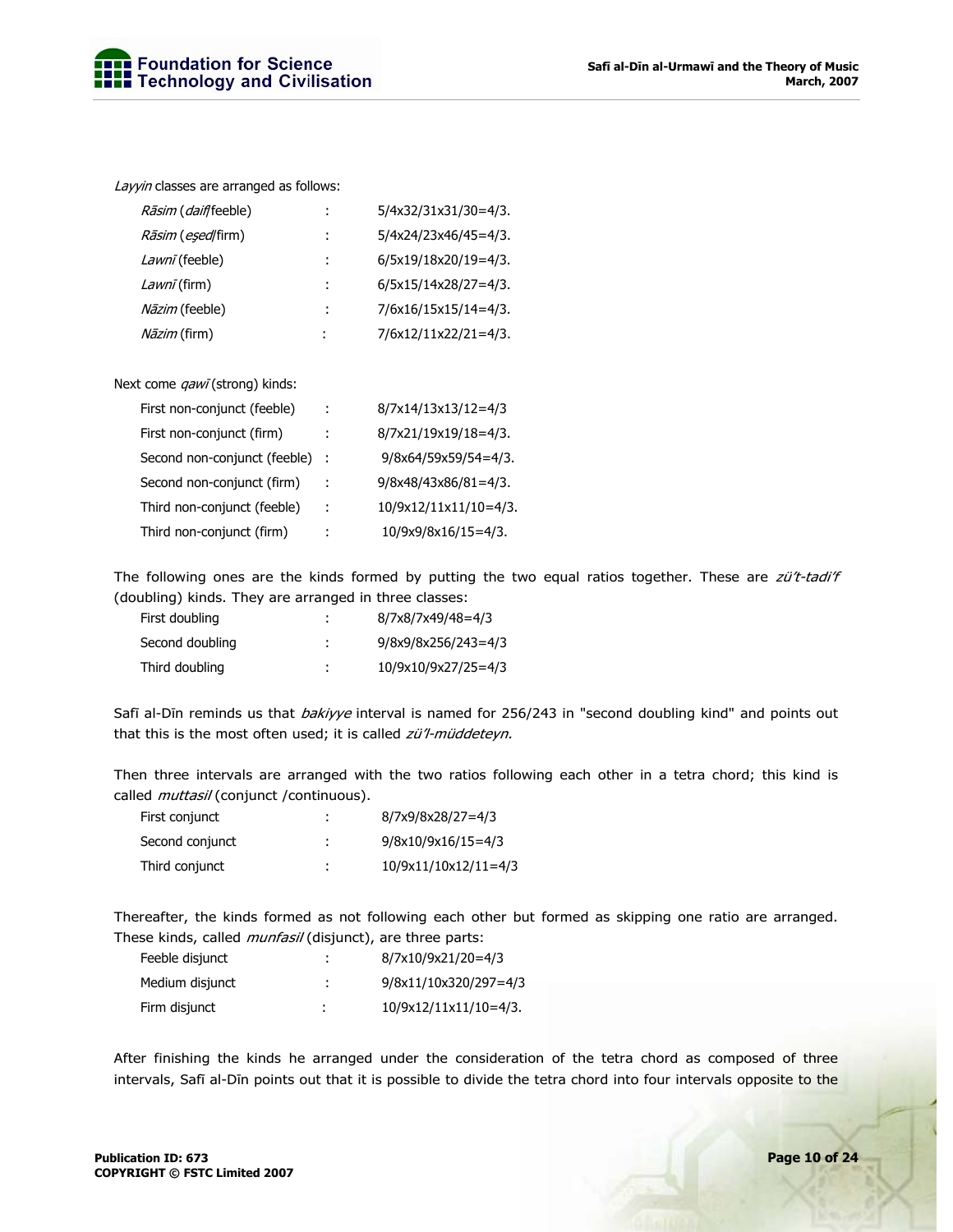Layyin classes are arranged as follows:

| Rāsim (daifffeeble)               | ÷ | 5/4x32/31x31/30=4/3.   |
|-----------------------------------|---|------------------------|
| <i>Rāsim</i> ( <i>eșed</i> /firm) | ÷ | 5/4x24/23x46/45=4/3.   |
| Lawni (feeble)                    | ÷ | 6/5x19/18x20/19=4/3.   |
| Lawnī (firm)                      | ÷ | $6/5x15/14x28/27=4/3.$ |
| <i>Nāzim</i> (feeble)             | ÷ | 7/6x16/15x15/14=4/3.   |
| <i>Nāzim</i> (firm)               | ÷ | 7/6x12/11x22/21=4/3.   |

Next come *qawī* (strong) kinds:

| First non-conjunct (feeble)  | ÷   | 8/7x14/13x13/12=4/3     |
|------------------------------|-----|-------------------------|
| First non-conjunct (firm)    |     | 8/7x21/19x19/18=4/3.    |
| Second non-conjunct (feeble) |     | 9/8x64/59x59/54=4/3.    |
| Second non-conjunct (firm)   |     | $9/8x48/43x86/81=4/3$ . |
| Third non-conjunct (feeble)  | - 1 | 10/9x12/11x11/10=4/3.   |
| Third non-conjunct (firm)    | t   | 10/9x9/8x16/15=4/3.     |

The following ones are the kinds formed by putting the two equal ratios together. These are zü't-tadi'f (doubling) kinds. They are arranged in three classes:

| First doubling  | ٠<br>٠ | 8/7x8/7x49/48=4/3   |
|-----------------|--------|---------------------|
| Second doubling | ٠<br>٠ | 9/8x9/8x256/243=4/3 |
| Third doubling  | ٠      | 10/9x10/9x27/25=4/3 |

Safī al-Dīn reminds us that *bakiyye* interval is named for 256/243 in "second doubling kind" and points out that this is the most often used; it is called zü'l-müddeteyn.

Then three intervals are arranged with the two ratios following each other in a tetra chord; this kind is called *muttasil* (conjunct /continuous).

| First conjunct  |        | 8/7x9/8x28/27=4/3    |
|-----------------|--------|----------------------|
| Second conjunct | ٠      | $9/8x10/9x16/15=4/3$ |
| Third conjunct  | ٠<br>٠ | 10/9x11/10x12/11=4/3 |

Thereafter, the kinds formed as not following each other but formed as skipping one ratio are arranged. These kinds, called *munfasil* (disjunct), are three parts:

| Feeble disjunct | ٠<br>٠ | 8/7x10/9x21/20=4/3      |
|-----------------|--------|-------------------------|
| Medium disjunct | ٠<br>٠ | 9/8x11/10x320/297=4/3   |
| Firm disjunct   |        | $10/9x12/11x11/10=4/3.$ |

After finishing the kinds he arranged under the consideration of the tetra chord as composed of three intervals, Safī al-Dīn points out that it is possible to divide the tetra chord into four intervals opposite to the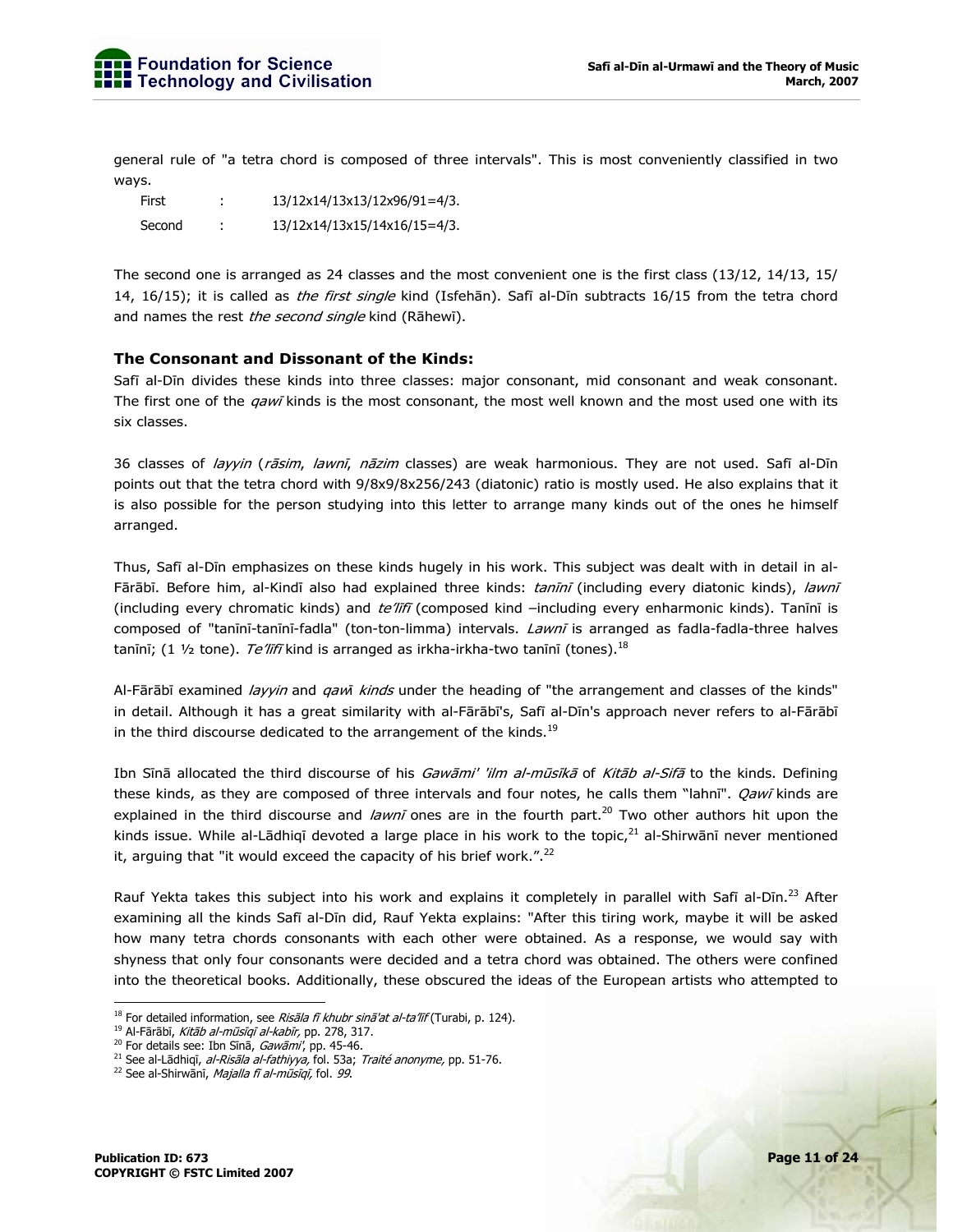general rule of "a tetra chord is composed of three intervals". This is most conveniently classified in two ways.

First : 13/12x14/13x13/12x96/91=4/3. Second : 13/12x14/13x15/14x16/15=4/3.

The second one is arranged as 24 classes and the most convenient one is the first class (13/12, 14/13, 15/ 14, 16/15); it is called as *the first single* kind (Isfehān). Safī al-Dīn subtracts 16/15 from the tetra chord and names the rest the second single kind (Rāhewī).

## **The Consonant and Dissonant of the Kinds:**

Safī al-Dīn divides these kinds into three classes: major consonant, mid consonant and weak consonant. The first one of the *qawī* kinds is the most consonant, the most well known and the most used one with its six classes.

36 classes of layyin (rāsim, lawnī, nāzim classes) are weak harmonious. They are not used. Safī al-Dīn points out that the tetra chord with 9/8x9/8x256/243 (diatonic) ratio is mostly used. He also explains that it is also possible for the person studying into this letter to arrange many kinds out of the ones he himself arranged.

Thus, Safī al-Dīn emphasizes on these kinds hugely in his work. This subject was dealt with in detail in al-Fārābī. Before him, al-Kindī also had explained three kinds: tanīnī (including every diatonic kinds), lawnī (including every chromatic kinds) and te'lifi (composed kind -including every enharmonic kinds). Tanīnī is composed of "tanīnī-tanīnī-fadla" (ton-ton-limma) intervals. Lawnī is arranged as fadla-fadla-three halves tanīnī; (1  $\frac{1}{2}$  tone). Te *līfī* kind is arranged as irkha-irkha-two tanīnī (tones).<sup>18</sup>

Al-Fārābī examined layyin and gawī kinds under the heading of "the arrangement and classes of the kinds" in detail. Although it has a great similarity with al-Fārābī's, Safī al-Dīn's approach never refers to al-Fārābī in the third discourse dedicated to the arrangement of the kinds.<sup>19</sup>

Ibn Sīnā allocated the third discourse of his Gawāmi' 'ilm al-mūsīkā of Kitāb al-Sifā to the kinds. Defining these kinds, as they are composed of three intervals and four notes, he calls them "lahnī". Qawī kinds are explained in the third discourse and *lawnī* ones are in the fourth part.<sup>20</sup> Two other authors hit upon the kinds issue. While al-Lādhiqī devoted a large place in his work to the topic, $^{21}$  al-Shirwānī never mentioned it, arguing that "it would exceed the capacity of his brief work.". $^{22}$ 

Rauf Yekta takes this subject into his work and explains it completely in parallel with Safī al-Dīn.<sup>23</sup> After examining all the kinds Safī al-Dīn did, Rauf Yekta explains: "After this tiring work, maybe it will be asked how many tetra chords consonants with each other were obtained. As a response, we would say with shyness that only four consonants were decided and a tetra chord was obtained. The others were confined into the theoretical books. Additionally, these obscured the ideas of the European artists who attempted to

<sup>&</sup>lt;sup>18</sup> For detailed information, see *Risāla fī khubr sinā'at al-ta'līf* (Turabi, p. 124).<br><sup>19</sup> Al-Fārābī, *Kitāb al-mūsīqī al-kabīr*, pp. 278, 317.<br><sup>20</sup> For details see: Ibn Sīnā, *Gawāmi'*, pp. 45-46.<br><sup>21</sup> See al-Lādhiqī,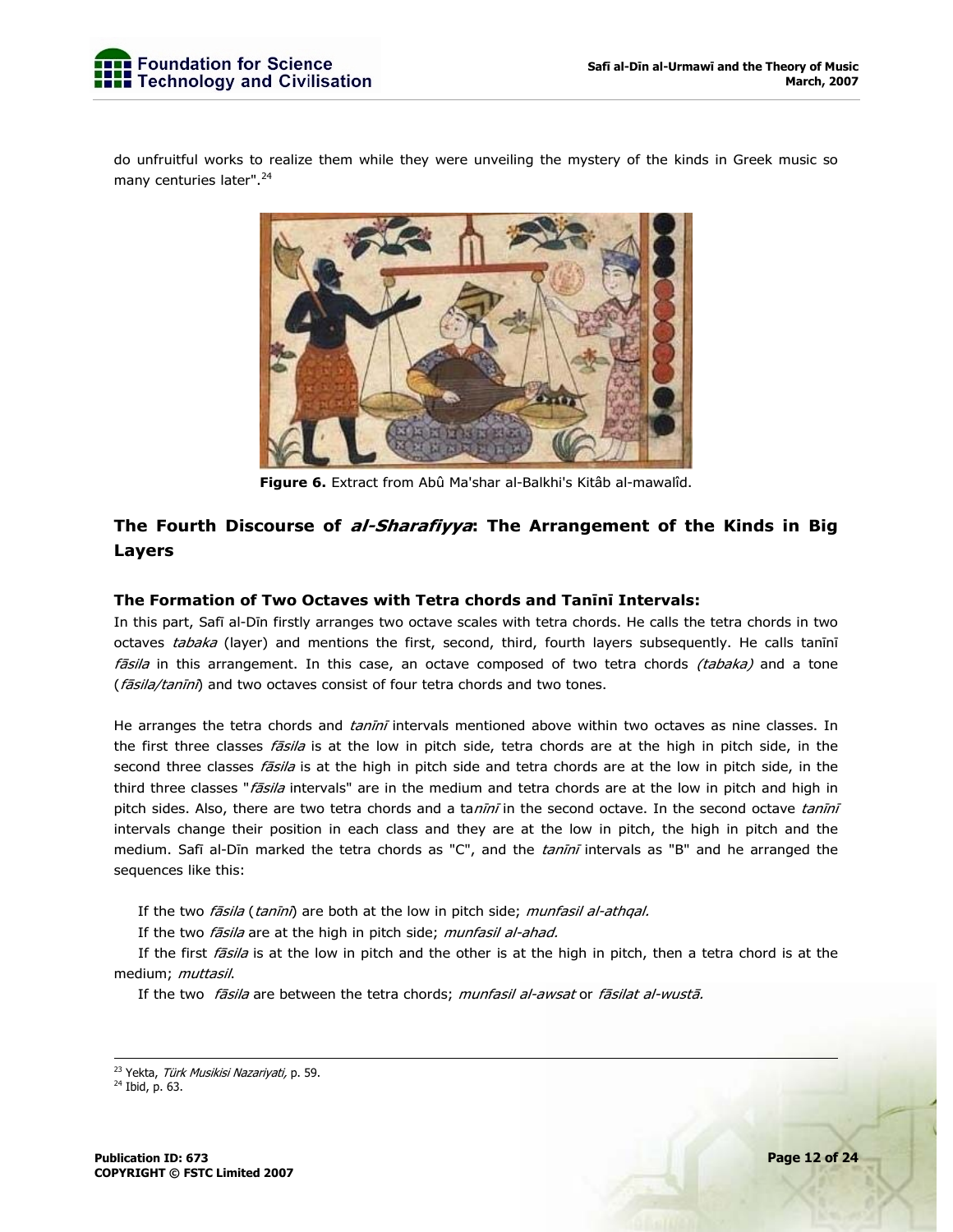do unfruitful works to realize them while they were unveiling the mystery of the kinds in Greek music so many centuries later".<sup>24</sup>



**Figure 6.** Extract from Abû Ma'shar al-Balkhi's Kitâb al-mawalîd.

## **The Fourth Discourse of al-Sharafiyya: The Arrangement of the Kinds in Big Layers**

## **The Formation of Two Octaves with Tetra chords and Tanīnī Intervals:**

In this part, Safī al-Dīn firstly arranges two octave scales with tetra chords. He calls the tetra chords in two octaves tabaka (layer) and mentions the first, second, third, fourth layers subsequently. He calls tanini fāsila in this arrangement. In this case, an octave composed of two tetra chords (tabaka) and a tone (fāsila/tanīnī) and two octaves consist of four tetra chords and two tones.

He arranges the tetra chords and *tanīnī* intervals mentioned above within two octaves as nine classes. In the first three classes *fāsila* is at the low in pitch side, tetra chords are at the high in pitch side, in the second three classes *fāsila* is at the high in pitch side and tetra chords are at the low in pitch side, in the third three classes "fasila intervals" are in the medium and tetra chords are at the low in pitch and high in pitch sides. Also, there are two tetra chords and a tanini in the second octave. In the second octave tanini intervals change their position in each class and they are at the low in pitch, the high in pitch and the medium. Safī al-Dīn marked the tetra chords as "C", and the *tanīnī* intervals as "B" and he arranged the sequences like this:

If the two *fāsila* (*tanīnī*) are both at the low in pitch side; *munfasil al-athqal.* 

If the two *fāsila* are at the high in pitch side; munfasil al-ahad.

If the first *fāsila* is at the low in pitch and the other is at the high in pitch, then a tetra chord is at the medium; *muttasil*.

If the two fāsila are between the tetra chords; munfasil al-awsat or fāsilat al-wustā.

<sup>&</sup>lt;sup>23</sup> Yekta, *Türk Musikisi Nazariyati,* p. 59.<br><sup>24</sup> Ibid, p. 63.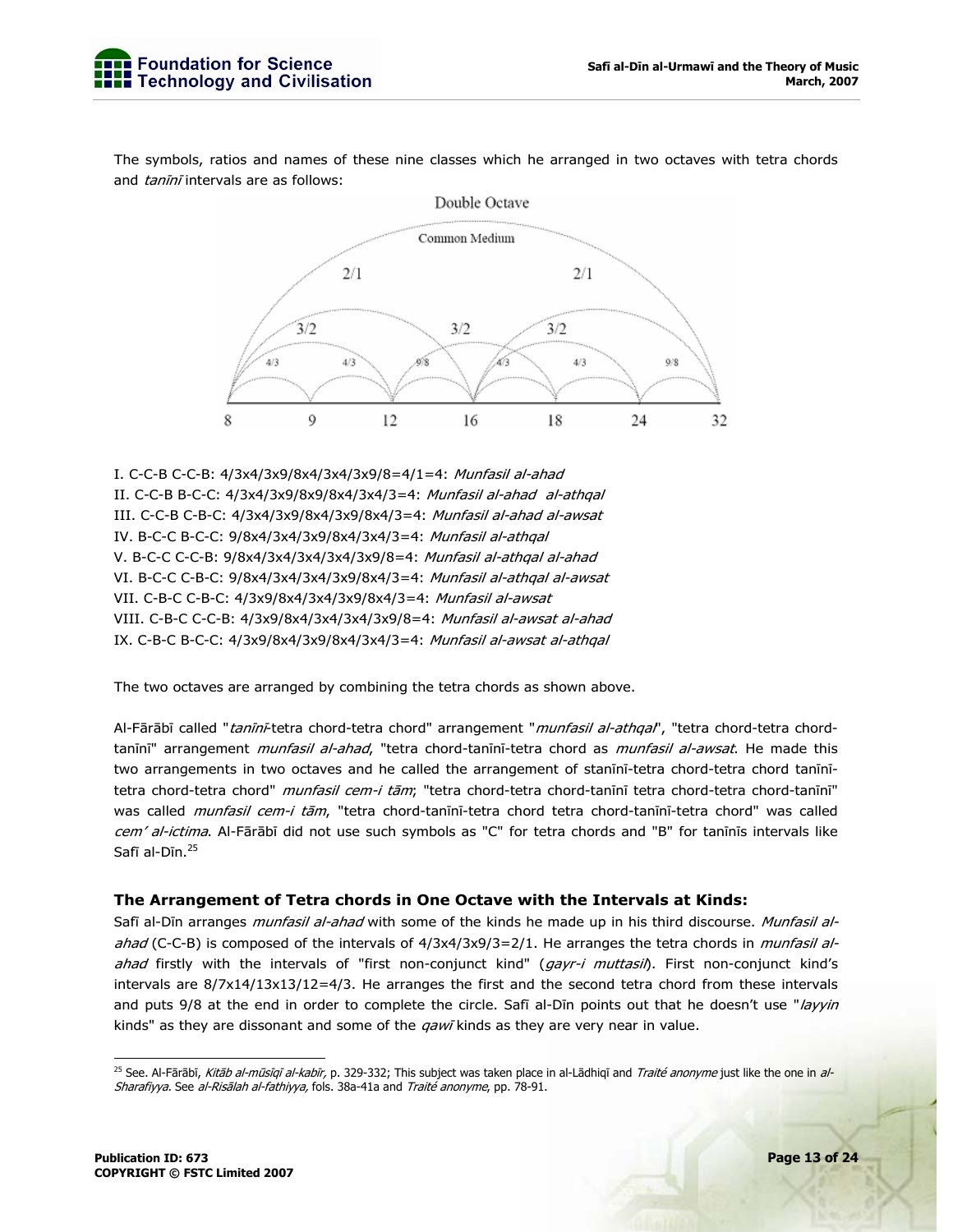The symbols, ratios and names of these nine classes which he arranged in two octaves with tetra chords and tanini intervals are as follows:



I. C-C-B C-C-B: 4/3x4/3x9/8x4/3x4/3x9/8=4/1=4: Munfasil al-ahad II. C-C-B B-C-C: 4/3x4/3x9/8x9/8x4/3x4/3=4: Munfasil al-ahad al-athqal III. C-C-B C-B-C: 4/3x4/3x9/8x4/3x9/8x4/3=4: Munfasil al-ahad al-awsat IV. B-C-C B-C-C: 9/8x4/3x4/3x9/8x4/3x4/3=4: Munfasil al-athqal V. B-C-C C-C-B: 9/8x4/3x4/3x4/3x4/3x9/8=4: Munfasil al-athqal al-ahad VI. B-C-C C-B-C: 9/8x4/3x4/3x4/3x9/8x4/3=4: Munfasil al-athqal al-awsat VII. C-B-C C-B-C: 4/3x9/8x4/3x4/3x9/8x4/3=4: Munfasil al-awsat VIII. C-B-C C-C-B: 4/3x9/8x4/3x4/3x4/3x9/8=4: Munfasil al-awsat al-ahad IX. C-B-C B-C-C: 4/3x9/8x4/3x9/8x4/3x4/3=4: Munfasil al-awsat al-athqal

The two octaves are arranged by combining the tetra chords as shown above.

Al-Fārābī called "tanīnī-tetra chord-tetra chord" arrangement "munfasil al-athqal", "tetra chord-tetra chordtanīnī" arrangement munfasil al-ahad, "tetra chord-tanīnī-tetra chord as munfasil al-awsat. He made this two arrangements in two octaves and he called the arrangement of stanīnī-tetra chord-tetra chord tanīnītetra chord-tetra chord" munfasil cem-i tām; "tetra chord-tetra chord-tanīnī tetra chord-tetra chord-tanīnī" was called *munfasil cem-i tām*, "tetra chord-tanīnī-tetra chord tetra chord-tanīnī-tetra chord" was called cem' al-ictima. Al-Fārābī did not use such symbols as "C" for tetra chords and "B" for tanīnīs intervals like Safī al-Dīn.<sup>25</sup>

#### **The Arrangement of Tetra chords in One Octave with the Intervals at Kinds:**

Safī al-Dīn arranges *munfasil al-ahad* with some of the kinds he made up in his third discourse. Munfasil alahad (C-C-B) is composed of the intervals of 4/3x4/3x9/3=2/1. He arranges the tetra chords in munfasil alahad firstly with the intervals of "first non-conjunct kind" (gayr-i muttasil). First non-conjunct kind's intervals are 8/7x14/13x13/12=4/3. He arranges the first and the second tetra chord from these intervals and puts 9/8 at the end in order to complete the circle. Safī al-Dīn points out that he doesn't use "layyin kinds" as they are dissonant and some of the  $qaw\bar{q}$  kinds as they are very near in value.

<sup>-</sup><sup>25</sup> See. Al-Fārābī, Kitāb al-mūsīgī al-kabīr, p. 329-332; This subject was taken place in al-Lādhiqī and Traité anonyme just like the one in al-Sharafiyya. See al-Risālah al-fathiyya, fols. 38a-41a and Traité anonyme, pp. 78-91.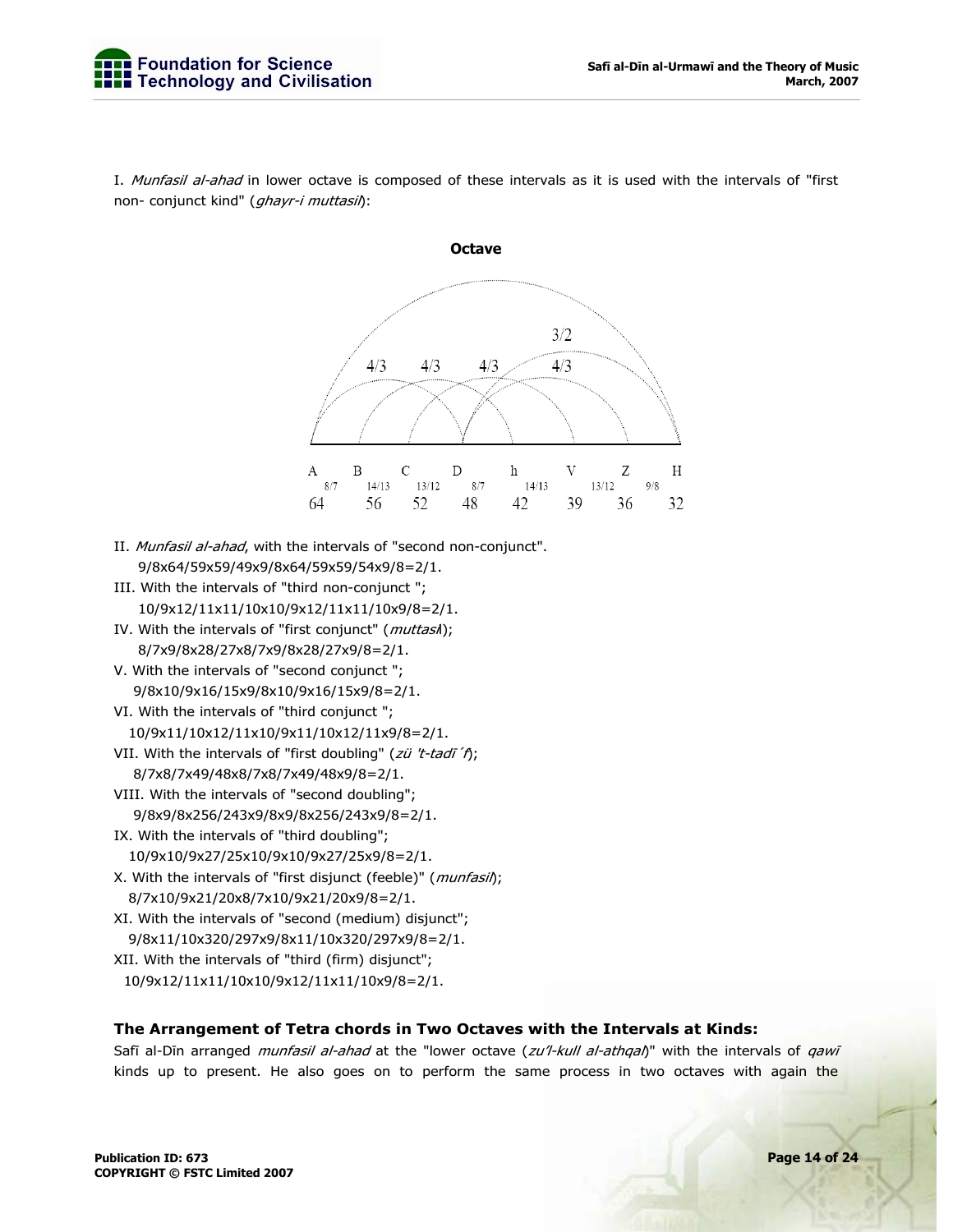

I. Munfasil al-ahad in lower octave is composed of these intervals as it is used with the intervals of "first non- conjunct kind" (ghayr-i muttasil):

- II. Munfasil al-ahad, with the intervals of "second non-conjunct". 9/8x64/59x59/49x9/8x64/59x59/54x9/8=2/1.
- III. With the intervals of "third non-conjunct "; 10/9x12/11x11/10x10/9x12/11x11/10x9/8=2/1.
- IV. With the intervals of "first conjunct" (muttasil); 8/7x9/8x28/27x8/7x9/8x28/27x9/8=2/1.
- V. With the intervals of "second conjunct "; 9/8x10/9x16/15x9/8x10/9x16/15x9/8=2/1.
- VI. With the intervals of "third conjunct ";
- 10/9x11/10x12/11x10/9x11/10x12/11x9/8=2/1.
- VII. With the intervals of "first doubling" ( $zii$  't-tadī' f); 8/7x8/7x49/48x8/7x8/7x49/48x9/8=2/1.
- VIII. With the intervals of "second doubling"; 9/8x9/8x256/243x9/8x9/8x256/243x9/8=2/1.
- IX. With the intervals of "third doubling";
- 10/9x10/9x27/25x10/9x10/9x27/25x9/8=2/1. X. With the intervals of "first disjunct (feeble)" (*munfasil*);
	- 8/7x10/9x21/20x8/7x10/9x21/20x9/8=2/1.
- XI. With the intervals of "second (medium) disjunct"; 9/8x11/10x320/297x9/8x11/10x320/297x9/8=2/1. XII. With the intervals of "third (firm) disjunct";
- 10/9x12/11x11/10x10/9x12/11x11/10x9/8=2/1.

## **The Arrangement of Tetra chords in Two Octaves with the Intervals at Kinds:**

Safī al-Dīn arranged munfasil al-ahad at the "lower octave (zu'l-kull al-athqal)" with the intervals of qawī kinds up to present. He also goes on to perform the same process in two octaves with again the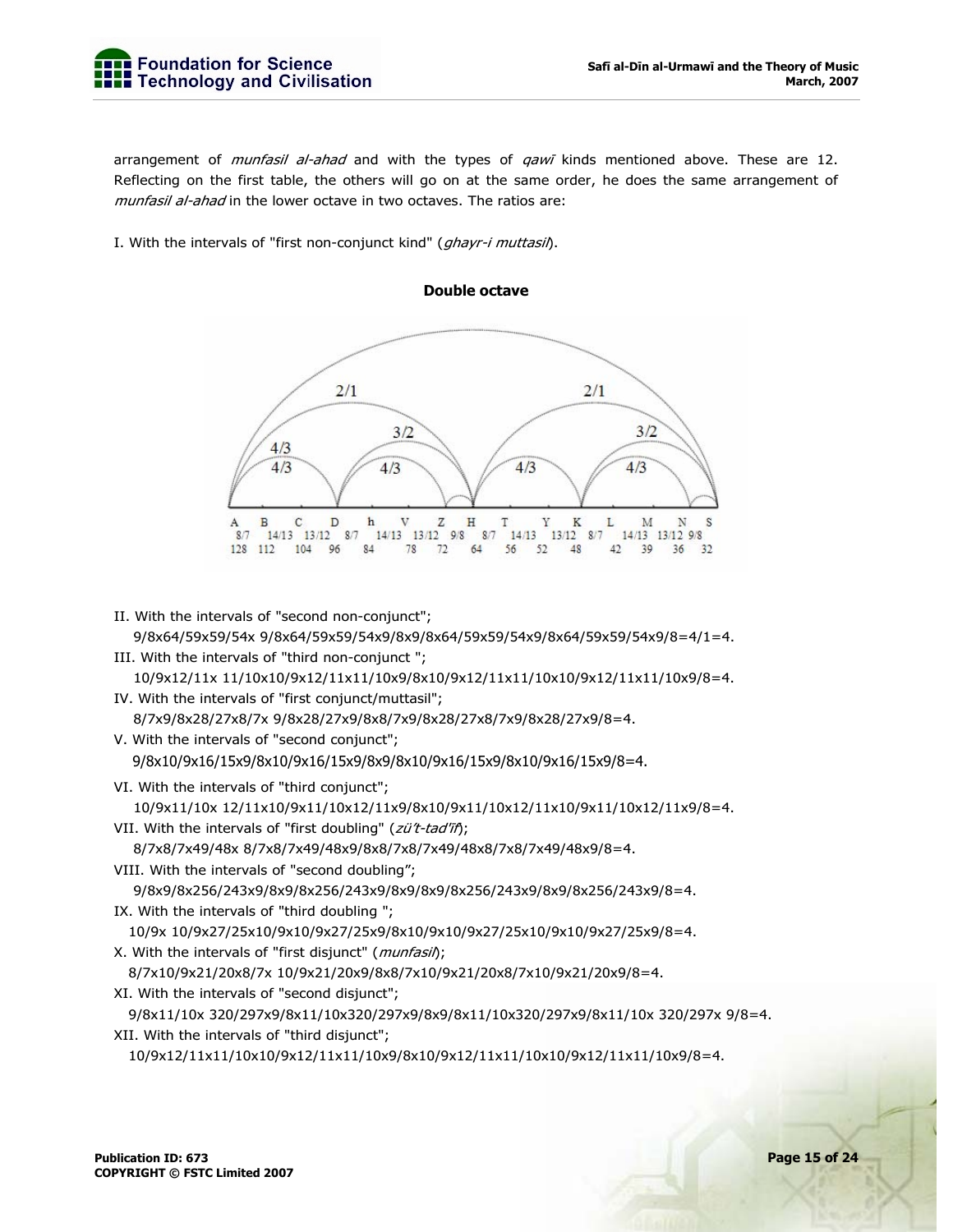arrangement of *munfasil al-ahad* and with the types of *qawī* kinds mentioned above. These are 12. Reflecting on the first table, the others will go on at the same order, he does the same arrangement of munfasil al-ahad in the lower octave in two octaves. The ratios are:

I. With the intervals of "first non-conjunct kind" (*ghayr-i muttasil*).



II. With the intervals of "second non-conjunct"; 9/8x64/59x59/54x 9/8x64/59x59/54x9/8x9/8x64/59x59/54x9/8x64/59x59/54x9/8=4/1=4. III. With the intervals of "third non-conjunct ";

10/9x12/11x 11/10x10/9x12/11x11/10x9/8x10/9x12/11x11/10x10/9x12/11x11/10x9/8=4.

IV. With the intervals of "first conjunct/muttasil";

8/7x9/8x28/27x8/7x 9/8x28/27x9/8x8/7x9/8x28/27x8/7x9/8x28/27x9/8=4.

V. With the intervals of "second conjunct"; 9/8x10/9x16/15x9/8x10/9x16/15x9/8x9/8x10/9x16/15x9/8x10/9x16/15x9/8=4.

VI. With the intervals of "third conjunct";

10/9x11/10x 12/11x10/9x11/10x12/11x9/8x10/9x11/10x12/11x10/9x11/10x12/11x9/8=4.

VII. With the intervals of "first doubling" (zü't-tad'īf);

8/7x8/7x49/48x 8/7x8/7x49/48x9/8x8/7x8/7x49/48x8/7x8/7x49/48x9/8=4.

- VIII. With the intervals of "second doubling"; 9/8x9/8x256/243x9/8x9/8x256/243x9/8x9/8x9/8x256/243x9/8x9/8x256/243x9/8=4.
- IX. With the intervals of "third doubling ";

```
 10/9x 10/9x27/25x10/9x10/9x27/25x9/8x10/9x10/9x27/25x10/9x10/9x27/25x9/8=4.
```
X. With the intervals of "first disjunct" (*munfasil*);

8/7x10/9x21/20x8/7x 10/9x21/20x9/8x8/7x10/9x21/20x8/7x10/9x21/20x9/8=4.

XI. With the intervals of "second disjunct";

 9/8x11/10x 320/297x9/8x11/10x320/297x9/8x9/8x11/10x320/297x9/8x11/10x 320/297x 9/8=4. XII. With the intervals of "third disjunct";

```
 10/9x12/11x11/10x10/9x12/11x11/10x9/8x10/9x12/11x11/10x10/9x12/11x11/10x9/8=4.
```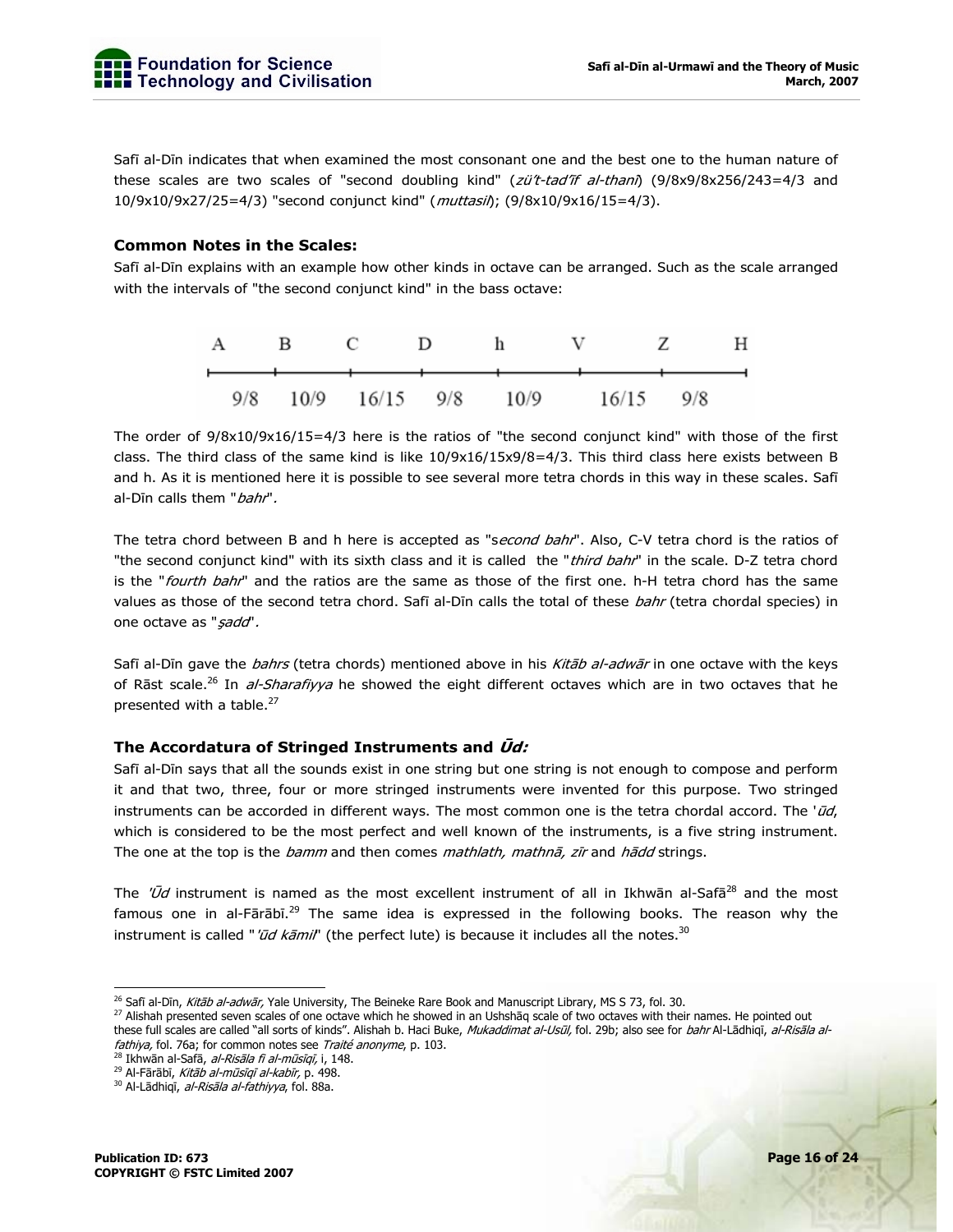Safī al-Dīn indicates that when examined the most consonant one and the best one to the human nature of these scales are two scales of "second doubling kind" (zü't-tad'if al-thani) (9/8x9/8x256/243=4/3 and 10/9x10/9x27/25=4/3) "second conjunct kind" (*muttasil*); (9/8x10/9x16/15=4/3).

## **Common Notes in the Scales:**

Safī al-Dīn explains with an example how other kinds in octave can be arranged. Such as the scale arranged with the intervals of "the second conjunct kind" in the bass octave:



The order of 9/8x10/9x16/15=4/3 here is the ratios of "the second conjunct kind" with those of the first class. The third class of the same kind is like 10/9x16/15x9/8=4/3. This third class here exists between B and h. As it is mentioned here it is possible to see several more tetra chords in this way in these scales. Safī al-Dīn calls them "*bahr*".

The tetra chord between B and h here is accepted as "second bahr". Also, C-V tetra chord is the ratios of "the second conjunct kind" with its sixth class and it is called the "third bahr" in the scale. D-Z tetra chord is the "fourth bahr" and the ratios are the same as those of the first one. h-H tetra chord has the same values as those of the second tetra chord. Safī al-Dīn calls the total of these bahr (tetra chordal species) in one octave as "sadd".

Safī al-Dīn gave the *bahrs* (tetra chords) mentioned above in his *Kitāb al-adwār* in one octave with the keys of Rāst scale.<sup>26</sup> In *al-Sharafiyya* he showed the eight different octaves which are in two octaves that he presented with a table.<sup>27</sup>

#### **The Accordatura of Stringed Instruments and Ūd:**

Safī al-Dīn says that all the sounds exist in one string but one string is not enough to compose and perform it and that two, three, four or more stringed instruments were invented for this purpose. Two stringed instruments can be accorded in different ways. The most common one is the tetra chordal accord. The ' $\vec{u}d$ , which is considered to be the most perfect and well known of the instruments, is a five string instrument. The one at the top is the *bamm* and then comes *mathlath, mathnā, zīr* and *hādd* strings.

The ' $\bar{U}d$  instrument is named as the most excellent instrument of all in Ikhwān al-Safā<sup>28</sup> and the most famous one in al-Fārābī.<sup>29</sup> The same idea is expressed in the following books. The reason why the instrument is called "*'ūd kāmil*" (the perfect lute) is because it includes all the notes.<sup>30</sup>

<sup>&</sup>lt;sup>26</sup> Safi al-Dīn, *Kitāb al-adwār,* Yale University, The Beineke Rare Book and Manuscript Library, MS S 73, fol. 30.

<sup>&</sup>lt;sup>27</sup> Alishah presented seven scales of one octave which he showed in an Ushshaq scale of two octaves with their names. He pointed out these full scales are called "all sorts of kinds". Alishah b. Haci Buke, *Mukaddimat al-Usūl,* fol. 29b; also see for *bahr* Al-Lādhiqī, *al-Risāla al-*<br>*fathiya,* fol. 76a; for common notes see *Traité anonyme*, p. 103.

<sup>&</sup>lt;sup>28</sup> Īkhwān al-Safā, *al-Risāla fi al-mūsīqī,* i, 148.<br><sup>29</sup> Al-Fārābī*, Kitāb al-mūsīqī al-kabīr,* p. 498.<br><sup>30</sup> Al-Lādhiqī, *al-Risāla al-fathiyya*, fol. 88a.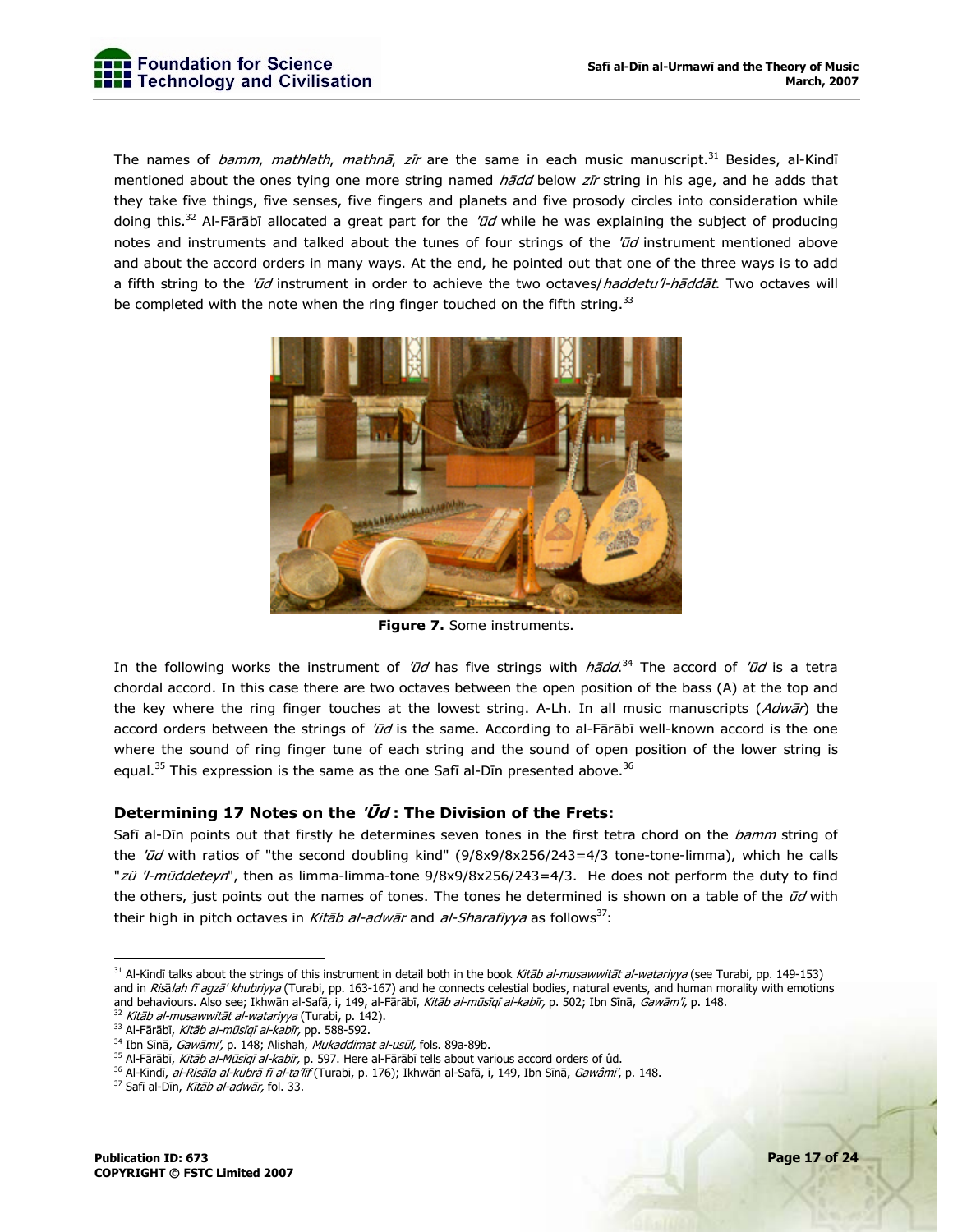

The names of *bamm, mathlath, mathnā, zīr* are the same in each music manuscript.<sup>31</sup> Besides, al-Kindī mentioned about the ones tying one more string named *hādd* below zīr string in his age, and he adds that they take five things, five senses, five fingers and planets and five prosody circles into consideration while doing this.<sup>32</sup> Al-Fārābī allocated a great part for the ' $\bar{u}d$  while he was explaining the subject of producing notes and instruments and talked about the tunes of four strings of the  $'\bar{u}d$  instrument mentioned above and about the accord orders in many ways. At the end, he pointed out that one of the three ways is to add a fifth string to the 'ūd instrument in order to achieve the two octaves/haddetu'l-hāddāt. Two octaves will be completed with the note when the ring finger touched on the fifth string.<sup>33</sup>



**Figure 7.** Some instruments.

In the following works the instrument of 'ūd has five strings with *hādd*.<sup>34</sup> The accord of 'ūd is a tetra chordal accord. In this case there are two octaves between the open position of the bass (A) at the top and the key where the ring finger touches at the lowest string. A-Lh. In all music manuscripts (Adwar) the accord orders between the strings of 'ūd is the same. According to al-Fārābī well-known accord is the one where the sound of ring finger tune of each string and the sound of open position of the lower string is equal.<sup>35</sup> This expression is the same as the one Safi al-Din presented above.<sup>36</sup>

## **Determining 17 Notes on the 'Ūd : The Division of the Frets:**

Safī al-Dīn points out that firstly he determines seven tones in the first tetra chord on the bamm string of the 'ūd with ratios of "the second doubling kind" (9/8x9/8x256/243=4/3 tone-tone-limma), which he calls "zü 'l-müddeteyn", then as limma-limma-tone 9/8x9/8x256/243=4/3. He does not perform the duty to find the others, just points out the names of tones. The tones he determined is shown on a table of the  $\vec{u}d$  with their high in pitch octaves in *Kitāb al-adwār* and *al-Sharafiyya* as follows<sup>37</sup>:

<sup>-</sup><sup>31</sup> Al-Kindī talks about the strings of this instrument in detail both in the book Kitāb al-musawwitāt al-watariyya (see Turabi, pp. 149-153) and in *Risālah fī agzā' khubriyya* (Turabi, pp. 163-167) and he connects celestial bodies, natural events, and human morality with emotions<br>and behaviours. Also see; Ikhwān al-Safā, i, 149, al-Fārābī, *Kitāb al-mūsīqī al-*

<sup>&</sup>lt;sup>32</sup> *Kitāb al-musawwitāt al-watariyya* (Turabi, p. 142).<br><sup>33</sup> Al-Fārābī, *Kitāb al-mūsīqī al-kabīr,* pp. 588-592.<br><sup>34</sup> Ibn Sīnā, *Gawāmi',* p. 148; Alishah, *Mukaddimat al-usūl,* fols. 89a-89b.<br><sup>35</sup> Al-Fārābī, *Kitāb al-*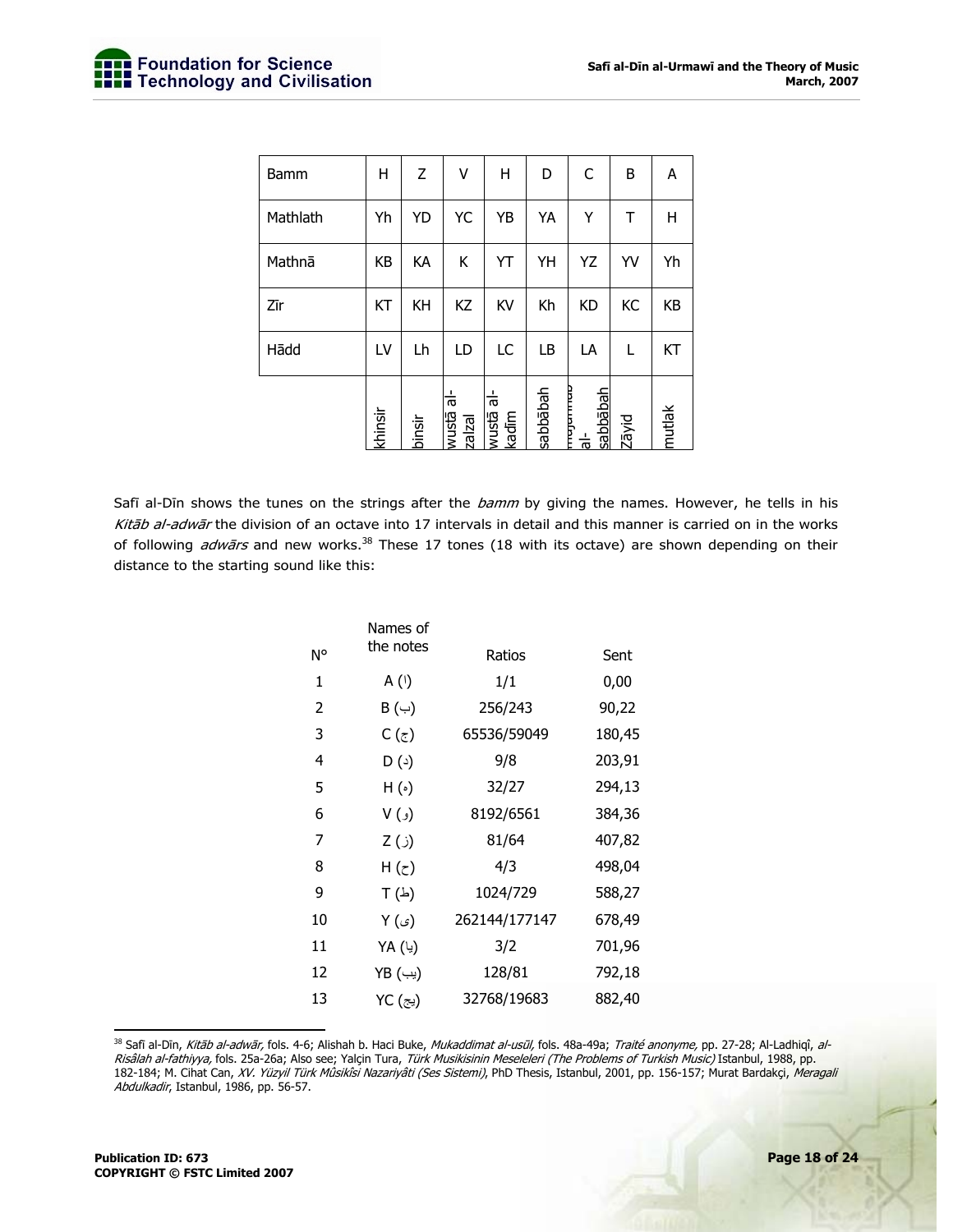| Bamm     | Η       | Z      | ٧                                                   | Н                          | D        | C                                         | B     | A      |
|----------|---------|--------|-----------------------------------------------------|----------------------------|----------|-------------------------------------------|-------|--------|
| Mathlath | Yh      | YD     | YC                                                  | YB                         | YA       | Υ                                         | Т     | н      |
| Mathnā   | KB      | KA     | Κ                                                   | YT                         | YH       | YZ                                        | YV    | Yh     |
| Zīr      | KT      | KH     | KZ                                                  | KV                         | Kh       | <b>KD</b>                                 | KC    | KB     |
| Hādd     | LV      | Lh     | LD                                                  | LC                         | LB       | LA                                        | L     | KT     |
|          | khinsir | binsir | $\frac{1}{\sigma}$<br><b><u>epsnm</u></b><br>zalzal | ㅎ<br><b>E3SNM</b><br>kadīm | sabbābah | mujumuu<br>sabbābah<br>$\frac{1}{\sigma}$ | Zāyid | mutlak |

Safī al-Dīn shows the tunes on the strings after the bamm by giving the names. However, he tells in his Kitab al-adwar the division of an octave into 17 intervals in detail and this manner is carried on in the works of following *adwārs* and new works.<sup>38</sup> These 17 tones (18 with its octave) are shown depending on their distance to the starting sound like this:

|    | Names of             |               |        |
|----|----------------------|---------------|--------|
| N° | the notes            | Ratios        | Sent   |
| 1  | A (۱)                | 1/1           | 0,00   |
| 2  | B (ب)                | 256/243       | 90,22  |
| 3  | C (ج)                | 65536/59049   | 180,45 |
| 4  | D(4)                 | 9/8           | 203,91 |
| 5  | $H(\cdot)$           | 32/27         | 294,13 |
| 6  | (و) ۷                | 8192/6561     | 384,36 |
| 7  | (ز) Z                | 81/64         | 407,82 |
| 8  | H ( $_{\tilde{c}}$ ) | 4/3           | 498,04 |
| 9  | $T(\Delta)$          | 1024/729      | 588,27 |
| 10 | Y (ی)                | 262144/177147 | 678,49 |
| 11 | YA (یا)              | 3/2           | 701,96 |
| 12 | YB (یب)              | 128/81        | 792,18 |
| 13 | YC (یج)              | 32768/19683   | 882,40 |

-<sup>38</sup> Safī al-Dīn, *Kitāb al-adwār,* fols. 4-6; Alishah b. Haci Buke, *Mukaddimat al-usūl,* fols. 48a-49a; *Traité anonyme,* pp. 27-28; Al-Ladhiqî, *al-*Risâlah al-fathiyya, fols. 25a-26a; Also see; Yalçin Tura, Türk Musikisinin Meseleleri (The Problems of Turkish Music) Istanbul, 1988, pp. 182-184; M. Cihat Can, XV. Yüzyil Türk MÜsikîsi Nazariyâti (Ses Sistemi), PhD Thesis, Istanbul, 2001, pp. 156-157; Murat Bardakçi, Meragali Abdulkadir, Istanbul, 1986, pp. 56-57.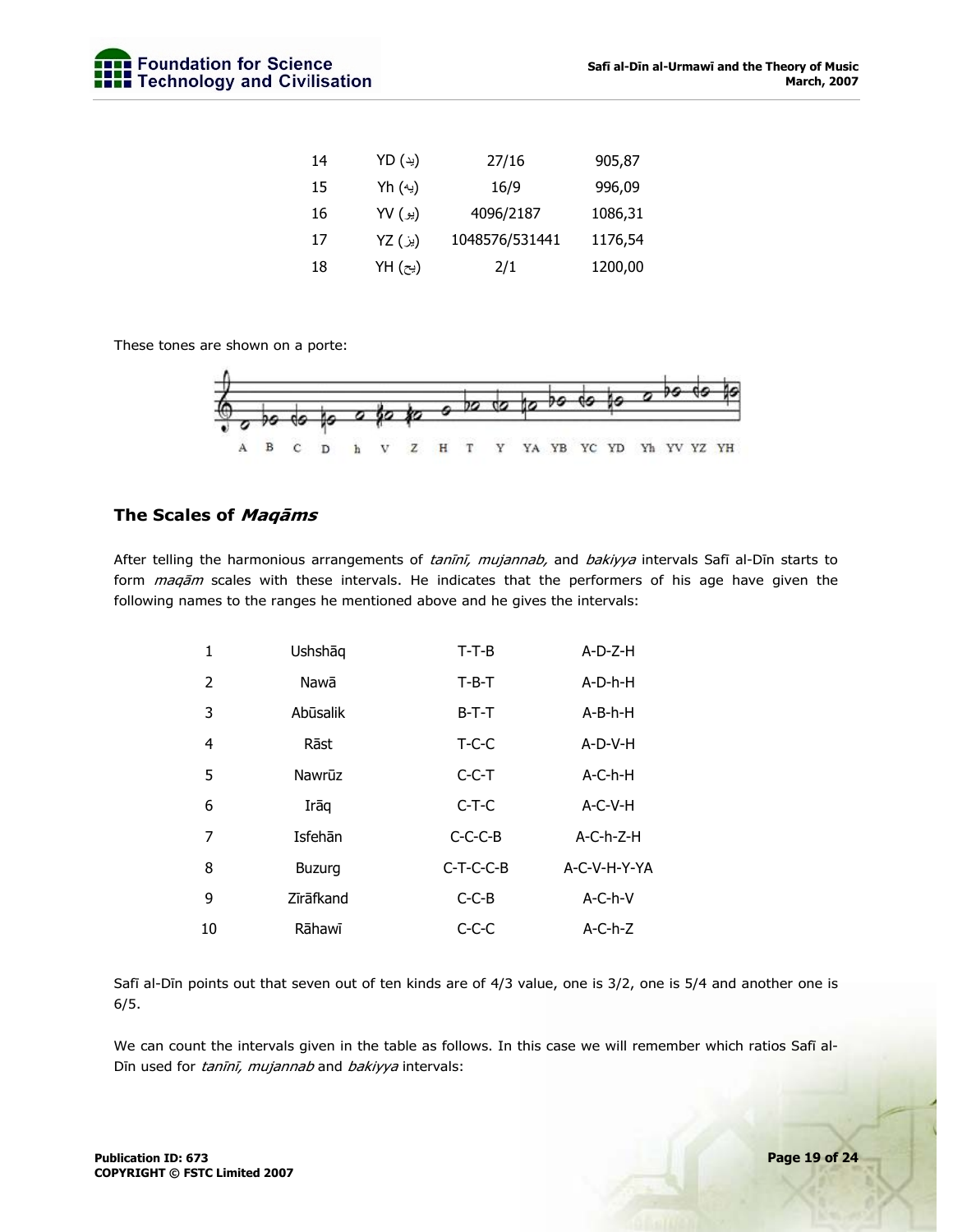| 14 | YD (ید) | 27/16          | 905,87  |
|----|---------|----------------|---------|
| 15 | Yh (په) | 16/9           | 996,09  |
| 16 | (يو) YV | 4096/2187      | 1086,31 |
| 17 | (يز) YZ | 1048576/531441 | 1176,54 |
| 18 | YH (پح) | 2/1            | 1200,00 |

These tones are shown on a porte:



## **The Scales of Maqāms**

After telling the harmonious arrangements of tanini, mujannab, and bakiyya intervals Safī al-Dīn starts to form maqam scales with these intervals. He indicates that the performers of his age have given the following names to the ranges he mentioned above and he gives the intervals:

| 1              | Ushshāq       | $T-T-B$     | $A-D-Z-H$    |
|----------------|---------------|-------------|--------------|
| 2              | Nawā          | $T-B-T$     | A-D-h-H      |
| 3              | Abūsalik      | $B-T-T$     | A-B-h-H      |
| $\overline{4}$ | Rāst          | $T-C-C$     | A-D-V-H      |
| 5              | Nawrūz        | $C-C-T$     | $A-C-h-H$    |
| 6              | Irāq          | $C-T-C$     | A-C-V-H      |
| 7              | Isfehān       | $C-C-C-B$   | $A-C-h-Z-H$  |
| 8              | <b>Buzurg</b> | $C-T-C-C-B$ | A-C-V-H-Y-YA |
| 9              | Zīrāfkand     | $C-C-B$     | $A-C-h-V$    |
| 10             | Rāhawī        | $C-C-C$     | $A-C-h-Z$    |

Safī al-Dīn points out that seven out of ten kinds are of 4/3 value, one is 3/2, one is 5/4 and another one is 6/5.

We can count the intervals given in the table as follows. In this case we will remember which ratios Safī al-Dīn used for tanīnī, mujannab and bakiyya intervals: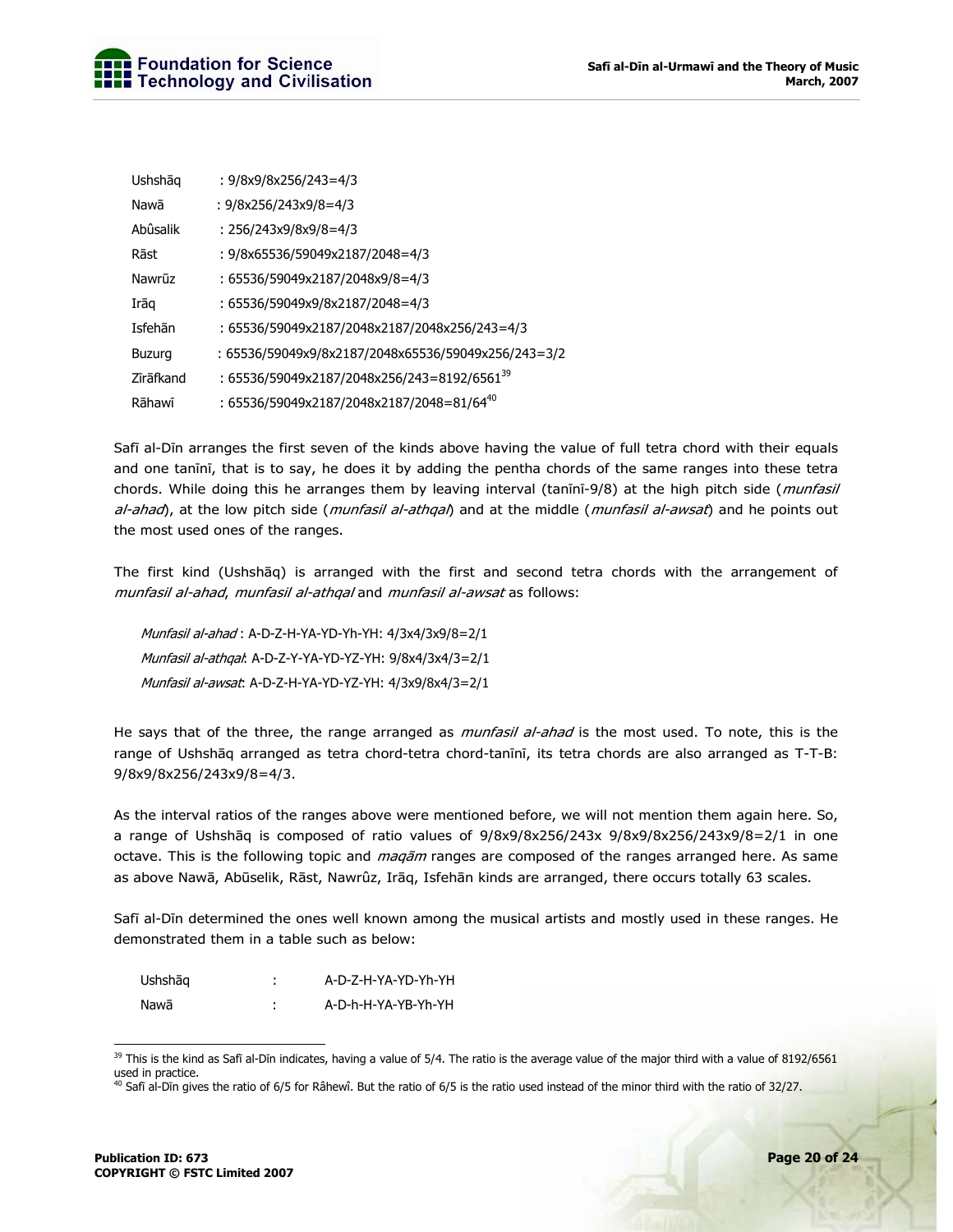| Ushshāg       | : 9/8x9/8x256/243=4/3                                   |
|---------------|---------------------------------------------------------|
| Nawā          | : $9/8x256/243x9/8=4/3$                                 |
| Abûsalik      | : 256/243x9/8x9/8=4/3                                   |
| Rāst          | : 9/8x65536/59049x2187/2048=4/3                         |
| Nawrūz        | : 65536/59049x2187/2048x9/8=4/3                         |
| Irāq          | : 65536/59049x9/8x2187/2048=4/3                         |
| Isfehān       | : 65536/59049x2187/2048x2187/2048x256/243=4/3           |
| <b>Buzurg</b> | : 65536/59049x9/8x2187/2048x65536/59049x256/243=3/2     |
| Zīrāfkand     | : 65536/59049x2187/2048x256/243=8192/6561 <sup>39</sup> |
| Rāhawī        | : 65536/59049x2187/2048x2187/2048=81/64 <sup>40</sup>   |

Safī al-Dīn arranges the first seven of the kinds above having the value of full tetra chord with their equals and one tanīnī, that is to say, he does it by adding the pentha chords of the same ranges into these tetra chords. While doing this he arranges them by leaving interval (tanini-9/8) at the high pitch side (munfasil al-ahad), at the low pitch side (munfasil al-athqal) and at the middle (munfasil al-awsat) and he points out the most used ones of the ranges.

The first kind (Ushshāq) is arranged with the first and second tetra chords with the arrangement of munfasil al-ahad, munfasil al-athqal and munfasil al-awsat as follows:

Munfasil al-ahad : A-D-Z-H-YA-YD-Yh-YH: 4/3x4/3x9/8=2/1 Munfasil al-athqal: A-D-Z-Y-YA-YD-YZ-YH: 9/8x4/3x4/3=2/1 Munfasil al-awsat: A-D-Z-H-YA-YD-YZ-YH: 4/3x9/8x4/3=2/1

He says that of the three, the range arranged as *munfasil al-ahad* is the most used. To note, this is the range of Ushshāq arranged as tetra chord-tetra chord-tanīnī, its tetra chords are also arranged as T-T-B: 9/8x9/8x256/243x9/8=4/3.

As the interval ratios of the ranges above were mentioned before, we will not mention them again here. So, a range of Ushshāq is composed of ratio values of 9/8x9/8x256/243x 9/8x9/8x256/243x9/8=2/1 in one octave. This is the following topic and *maqām* ranges are composed of the ranges arranged here. As same as above Nawā, Abūselik, Rāst, Nawrûz, Irāq, Isfehān kinds are arranged, there occurs totally 63 scales.

Safī al-Dīn determined the ones well known among the musical artists and mostly used in these ranges. He demonstrated them in a table such as below:

| Ushshāg |   | A-D-Z-H-YA-YD-Yh-YH |
|---------|---|---------------------|
| Nawā    | ٠ | A-D-h-H-YA-YB-Yh-YH |

 $39$  This is the kind as Safī al-Dīn indicates, having a value of 5/4. The ratio is the average value of the major third with a value of 8192/6561 used in practice.

<sup>&</sup>lt;sup>40</sup> Safi al-Din gives the ratio of 6/5 for Râhewî. But the ratio of 6/5 is the ratio used instead of the minor third with the ratio of 32/27.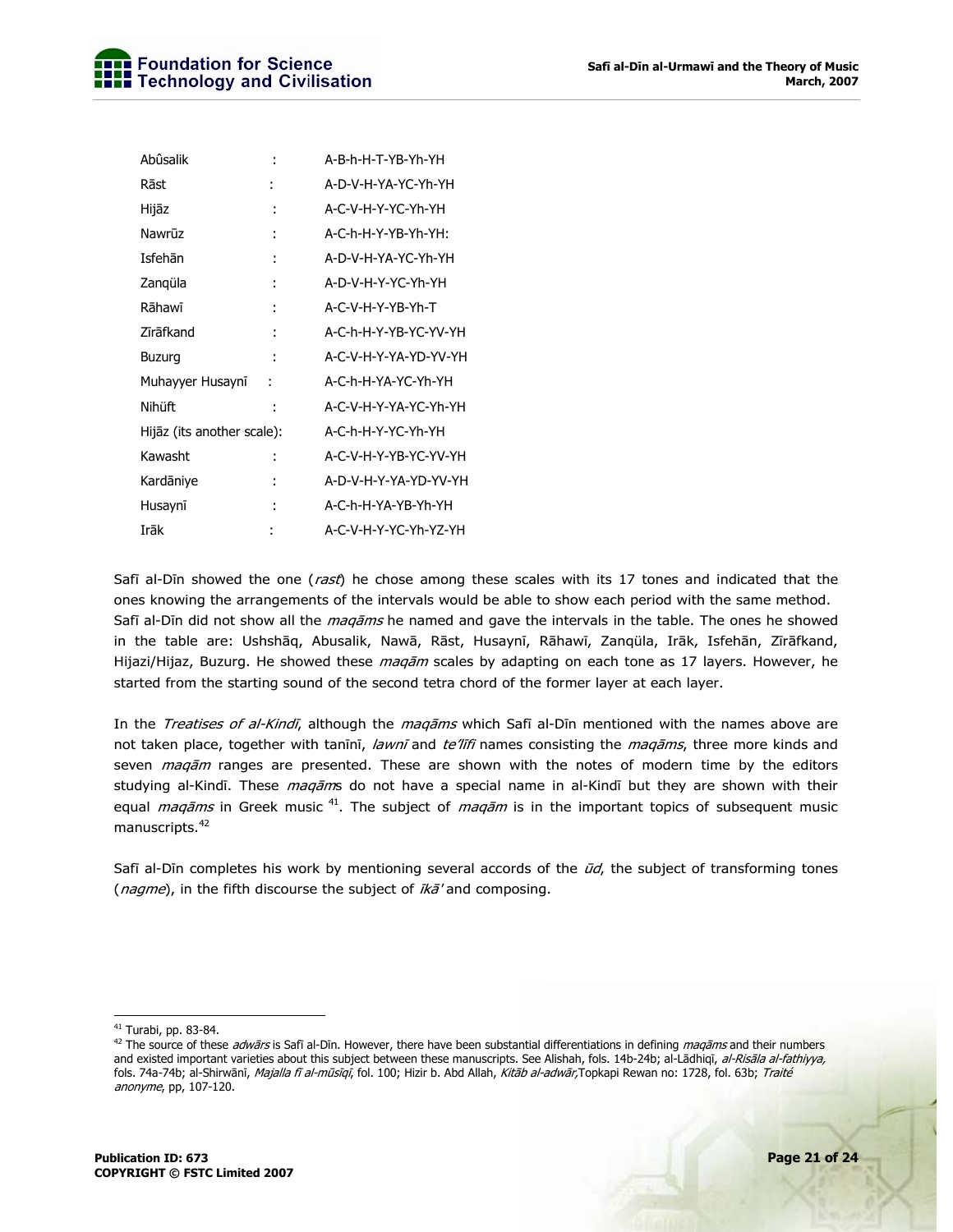| Abûsalik                   |   | A-B-h-H-T-YB-Yh-YH    |
|----------------------------|---|-----------------------|
| Rāst                       |   | A-D-V-H-YA-YC-Yh-YH   |
| Hijāz                      | ÷ | A-C-V-H-Y-YC-Yh-YH    |
| Nawrūz                     |   | A-C-h-H-Y-YB-Yh-YH:   |
| Isfehān                    | t | A-D-V-H-YA-YC-Yh-YH   |
| Zangüla                    |   | A-D-V-H-Y-YC-Yh-YH    |
| Rāhawī                     | t | A-C-V-H-Y-YB-Yh-T     |
| Zīrāfkand                  | t | A-C-h-H-Y-YB-YC-YV-YH |
| Buzurg                     |   | A-C-V-H-Y-YA-YD-YV-YH |
| Muhayyer Husaynī           | ÷ | A-C-h-H-YA-YC-Yh-YH   |
| Nihüft                     | t | A-C-V-H-Y-YA-YC-Yh-YH |
| Hijāz (its another scale): |   | A-C-h-H-Y-YC-Yh-YH    |
| Kawasht                    |   | A-C-V-H-Y-YB-YC-YV-YH |
| Kardāniye                  | t | A-D-V-H-Y-YA-YD-YV-YH |
| Husaynī                    | Ì | A-C-h-H-YA-YB-Yh-YH   |
| Irāk                       |   | A-C-V-H-Y-YC-Yh-YZ-YH |

Safī al-Dīn showed the one (rast) he chose among these scales with its 17 tones and indicated that the ones knowing the arrangements of the intervals would be able to show each period with the same method. Safī al-Dīn did not show all the *maqāms* he named and gave the intervals in the table. The ones he showed in the table are: Ushshāq, Abusalik, Nawā, Rāst, Husaynī, Rāhawī, Zanqüla, Irāk, Isfehān, Zīrāfkand, Hijazi/Hijaz, Buzurg. He showed these *maqām* scales by adapting on each tone as 17 layers. However, he started from the starting sound of the second tetra chord of the former layer at each layer.

In the Treatises of al-Kindī, although the maqams which Safi al-Din mentioned with the names above are not taken place, together with tanīnī, lawnī and te'līfi names consisting the maqāms, three more kinds and seven *maqām* ranges are presented. These are shown with the notes of modern time by the editors studying al-Kindī. These *maqām*s do not have a special name in al-Kindī but they are shown with their equal *maqāms* in Greek music <sup>41</sup>. The subject of *maqām* is in the important topics of subsequent music manuscripts.<sup>42</sup>

Safī al-Dīn completes his work by mentioning several accords of the  $\bar{u}d$ , the subject of transforming tones (nagme), in the fifth discourse the subject of  $ik\bar{a}'$  and composing.

<sup>-</sup>41 Turabi, pp. 83-84.

<sup>&</sup>lt;sup>42</sup> The source of these *adwārs* is Safī al-Dīn. However, there have been substantial differentiations in defining *maqāms* and their numbers and existed important varieties about this subject between these manuscripts. See Alishah, fols. 14b-24b; al-Lādhiqī, al-Risāla al-fathiyya, fols. 74a-74b; al-Shirwānī, Majalla fī al-mūsīqī, fol. 100; Hizir b. Abd Allah, Kitāb al-adwār,Topkapi Rewan no: 1728, fol. 63b; Traité anonyme, pp, 107-120.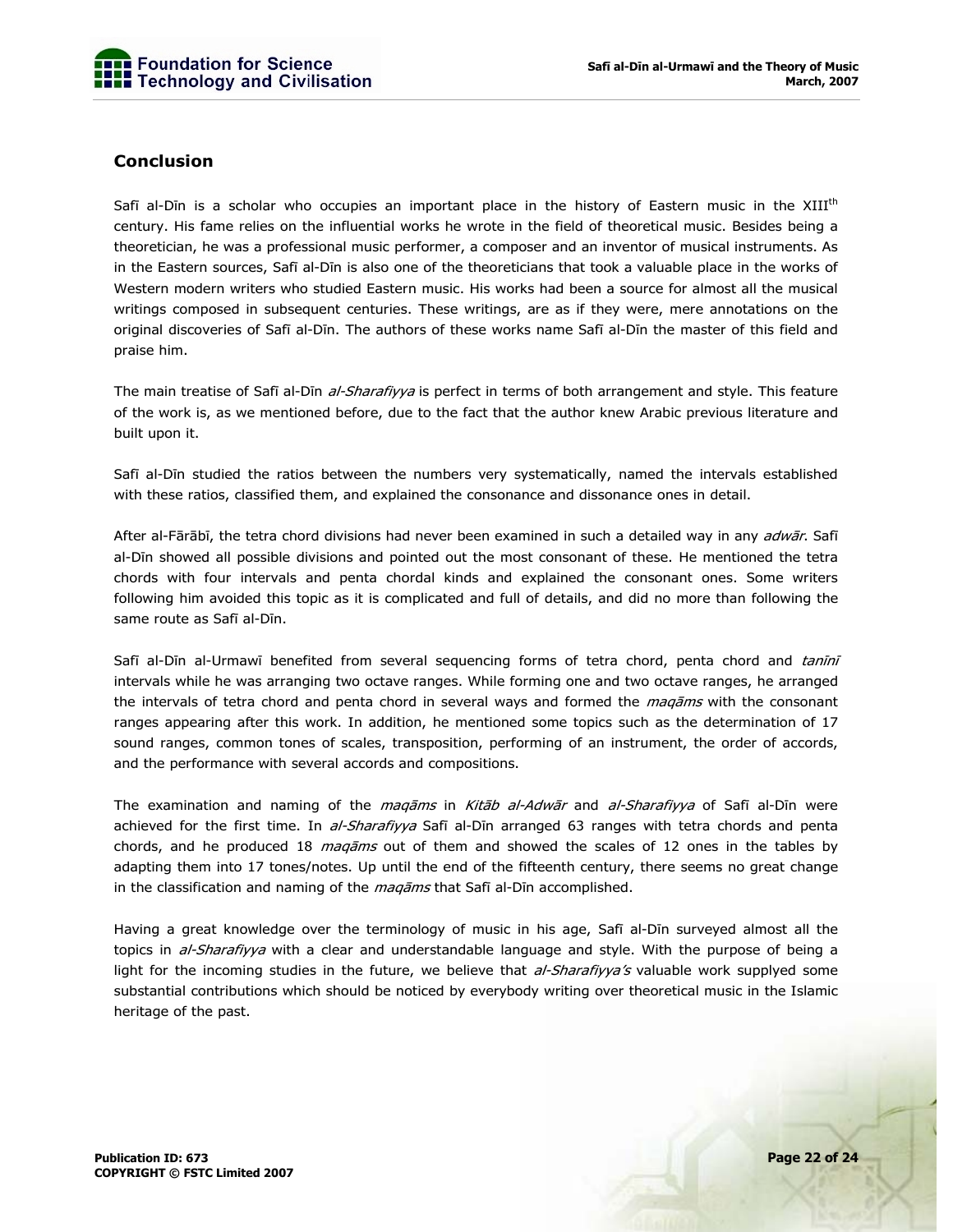## **Conclusion**

Safī al-Dīn is a scholar who occupies an important place in the history of Eastern music in the XIII<sup>th</sup> century. His fame relies on the influential works he wrote in the field of theoretical music. Besides being a theoretician, he was a professional music performer, a composer and an inventor of musical instruments. As in the Eastern sources, Safī al-Dīn is also one of the theoreticians that took a valuable place in the works of Western modern writers who studied Eastern music. His works had been a source for almost all the musical writings composed in subsequent centuries. These writings, are as if they were, mere annotations on the original discoveries of Safī al-Dīn. The authors of these works name Safī al-Dīn the master of this field and praise him.

The main treatise of Safī al-Dīn al-Sharafiyya is perfect in terms of both arrangement and style. This feature of the work is, as we mentioned before, due to the fact that the author knew Arabic previous literature and built upon it.

Safī al-Dīn studied the ratios between the numbers very systematically, named the intervals established with these ratios, classified them, and explained the consonance and dissonance ones in detail.

After al-Fārābī, the tetra chord divisions had never been examined in such a detailed way in any adwār. Safī al-Dīn showed all possible divisions and pointed out the most consonant of these. He mentioned the tetra chords with four intervals and penta chordal kinds and explained the consonant ones. Some writers following him avoided this topic as it is complicated and full of details, and did no more than following the same route as Safī al-Dīn.

Safī al-Dīn al-Urmawī benefited from several sequencing forms of tetra chord, penta chord and tanīnī intervals while he was arranging two octave ranges. While forming one and two octave ranges, he arranged the intervals of tetra chord and penta chord in several ways and formed the *maqāms* with the consonant ranges appearing after this work. In addition, he mentioned some topics such as the determination of 17 sound ranges, common tones of scales, transposition, performing of an instrument, the order of accords, and the performance with several accords and compositions.

The examination and naming of the *maqāms* in Kitāb al-Adwār and al-Sharafiyya of Safī al-Dīn were achieved for the first time. In al-Sharafiyya Safī al-Dīn arranged 63 ranges with tetra chords and penta chords, and he produced 18 *maqāms* out of them and showed the scales of 12 ones in the tables by adapting them into 17 tones/notes. Up until the end of the fifteenth century, there seems no great change in the classification and naming of the *maqāms* that Safī al-Dīn accomplished.

Having a great knowledge over the terminology of music in his age, Safī al-Dīn surveyed almost all the topics in al-Sharafiyya with a clear and understandable language and style. With the purpose of being a light for the incoming studies in the future, we believe that al-Sharafiyya's valuable work supplyed some substantial contributions which should be noticed by everybody writing over theoretical music in the Islamic heritage of the past.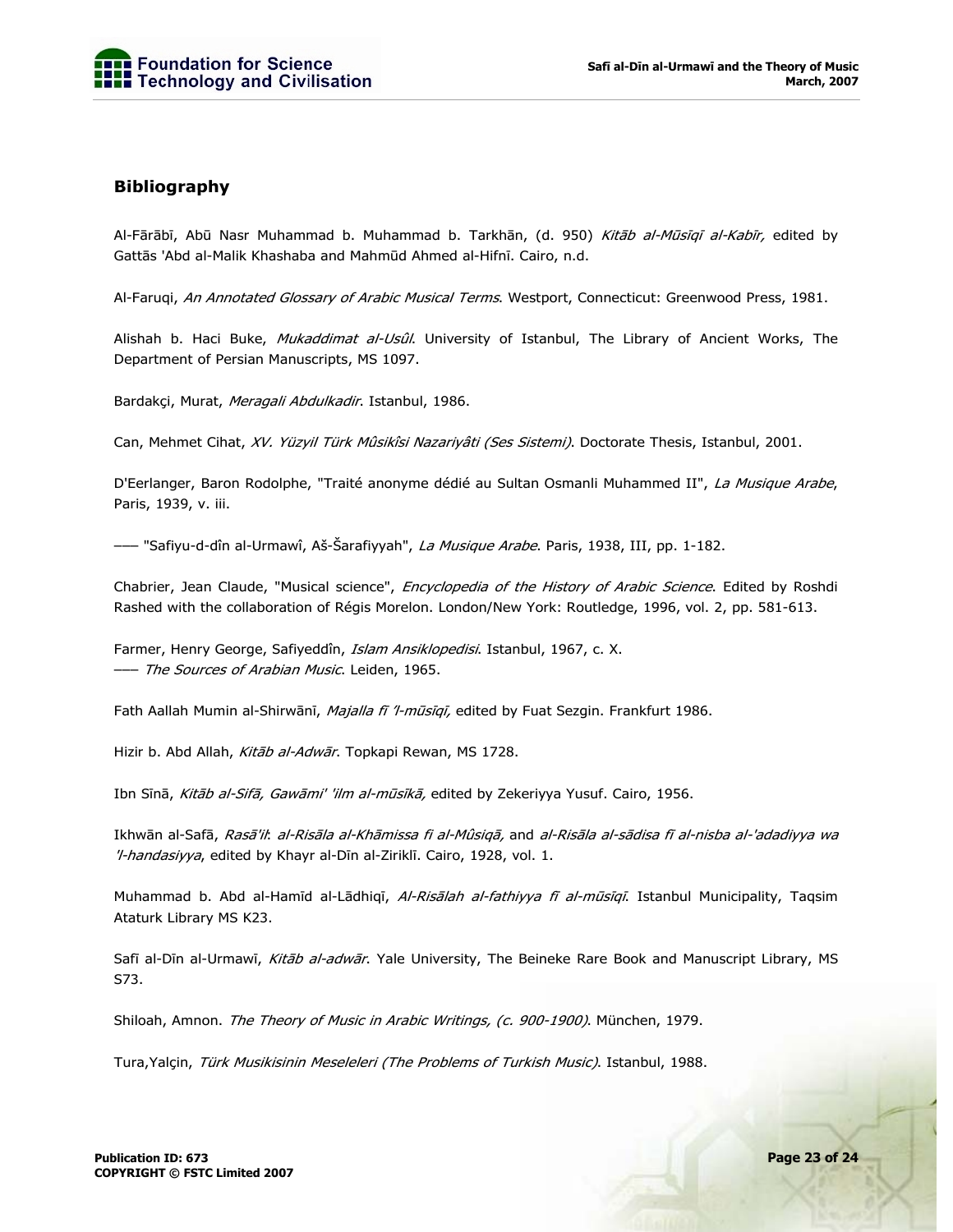## **Bibliography**

Al-Fārābī, Abū Nasr Muhammad b. Muhammad b. Tarkhān, (d. 950) Kitāb al-Mūsīqī al-Kabīr, edited by Gattās 'Abd al-Malik Khashaba and Mahmūd Ahmed al-Hifnī. Cairo, n.d.

Al-Faruqi, An Annotated Glossary of Arabic Musical Terms. Westport, Connecticut: Greenwood Press, 1981.

Alishah b. Haci Buke, Mukaddimat al-Usûl. University of Istanbul, The Library of Ancient Works, The Department of Persian Manuscripts, MS 1097.

Bardakçi, Murat, Meragali Abdulkadir. Istanbul, 1986.

Can, Mehmet Cihat, XV. Yüzyil Türk Mûsikîsi Nazariyâti (Ses Sistemi). Doctorate Thesis, Istanbul, 2001.

D'Eerlanger, Baron Rodolphe, "Traité anonyme dédié au Sultan Osmanli Muhammed II", La Musique Arabe, Paris, 1939, v. iii.

––– "Safiyu-d-dîn al-Urmawî, Aš-Šarafiyyah", La Musique Arabe. Paris, 1938, III, pp. 1-182.

Chabrier, Jean Claude, "Musical science", *Encyclopedia of the History of Arabic Science*. Edited by Roshdi Rashed with the collaboration of Régis Morelon. London/New York: Routledge, 1996, vol. 2, pp. 581-613.

Farmer, Henry George, Safiyeddîn, Islam Ansiklopedisi. Istanbul, 1967, c. X. --- The Sources of Arabian Music. Leiden, 1965.

Fath Aallah Mumin al-Shirwānī, Majalla fī 'l-mūsīqī, edited by Fuat Sezgin. Frankfurt 1986.

Hizir b. Abd Allah, Kitāb al-Adwār. Topkapi Rewan, MS 1728.

Ibn Sīnā, Kitāb al-Sifā, Gawāmi' 'ilm al-mūsīkā, edited by Zekeriyya Yusuf. Cairo, 1956.

Ikhwān al-Safā, Rasā'il: al-Risāla al-Khāmissa fi al-Mûsiqā, and al-Risāla al-sādisa fī al-nisba al-'adadiyya wa 'l-handasiyya, edited by Khayr al-Dīn al-Ziriklī. Cairo, 1928, vol. 1.

Muhammad b. Abd al-Hamīd al-Lādhiqī, Al-Risālah al-fathiyya fī al-mūsīqī. Istanbul Municipality, Taqsim Ataturk Library MS K23.

Safī al-Dīn al-Urmawī, Kitāb al-adwār. Yale University, The Beineke Rare Book and Manuscript Library, MS S73.

Shiloah, Amnon. The Theory of Music in Arabic Writings, (c. 900-1900). München, 1979.

Tura, Yalçin, Türk Musikisinin Meseleleri (The Problems of Turkish Music). Istanbul, 1988.